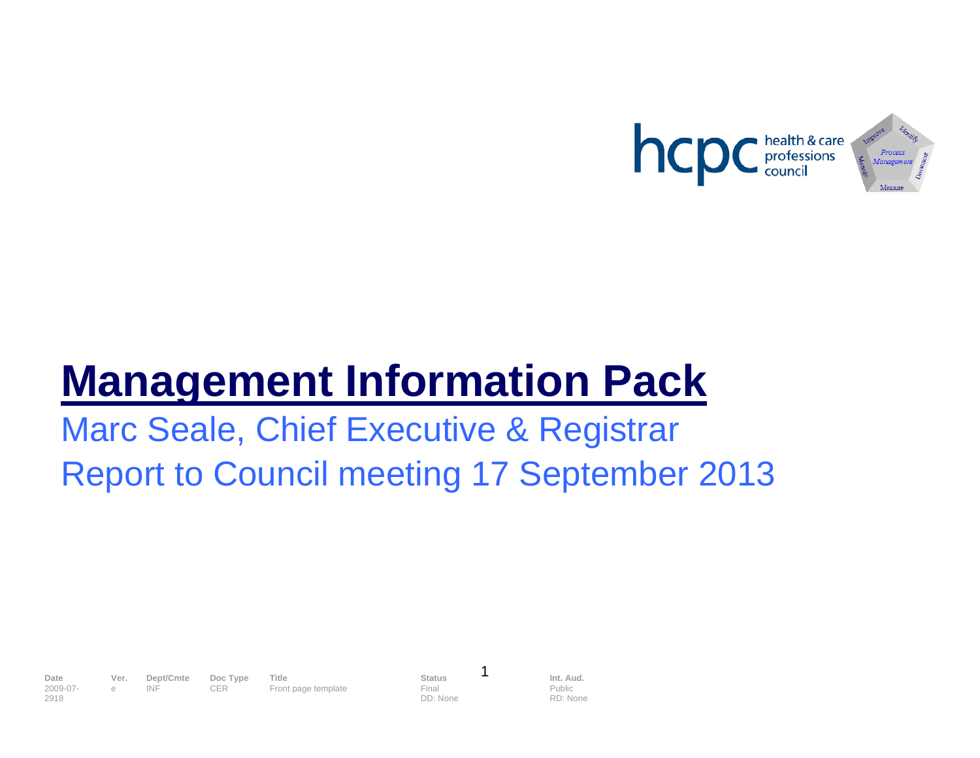

# **Management Information Pack**

# Marc Seale, Chief Executive & Registrar Report to Council meeting 17 September 2013

2009-07- 2918

**Date Ver. Dept/Cmte Doc Type Title <b>Status Status I Int. Aud.**<br>
2009-07- e INF CER Front page template Final Final Public e INF CER Front page template Final

DD: None

1

Public RD: None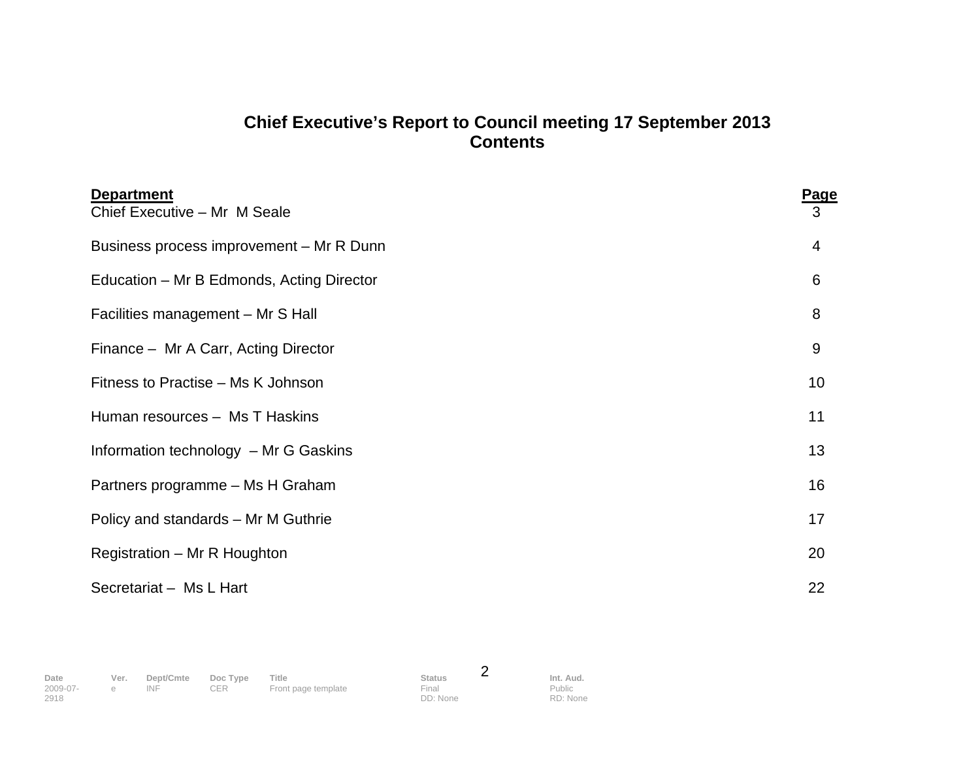# **Chief Executive's Report to Council meeting 17 September 2013 Contents**

| <b>Department</b>                         | <b>Page</b> |
|-------------------------------------------|-------------|
| Chief Executive - Mr M Seale              | 3           |
| Business process improvement - Mr R Dunn  | 4           |
| Education – Mr B Edmonds, Acting Director | 6           |
| Facilities management - Mr S Hall         | 8           |
| Finance - Mr A Carr, Acting Director      | 9           |
| Fitness to Practise - Ms K Johnson        | 10          |
| Human resources - Ms T Haskins            | 11          |
| Information technology - Mr G Gaskins     | 13          |
| Partners programme - Ms H Graham          | 16          |
| Policy and standards - Mr M Guthrie       | 17          |
| Registration - Mr R Houghton              | 20          |
| Secretariat - Ms L Hart                   | 22          |

2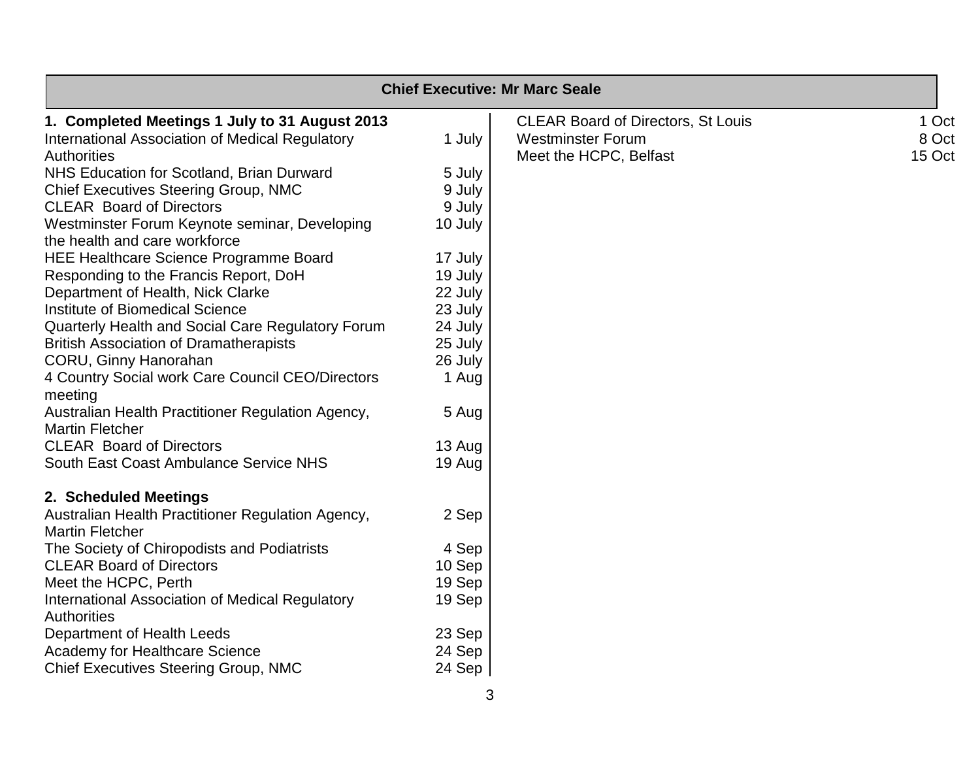|                                                                             |         | <b>Chief Executive: Mr Marc Seale</b>     |        |
|-----------------------------------------------------------------------------|---------|-------------------------------------------|--------|
| 1. Completed Meetings 1 July to 31 August 2013                              |         | <b>CLEAR Board of Directors, St Louis</b> | 1 Oct  |
| International Association of Medical Regulatory                             | 1 July  | <b>Westminster Forum</b>                  | 8 Oct  |
| <b>Authorities</b>                                                          |         | Meet the HCPC, Belfast                    | 15 Oct |
| NHS Education for Scotland, Brian Durward                                   | 5 July  |                                           |        |
| <b>Chief Executives Steering Group, NMC</b>                                 | 9 July  |                                           |        |
| <b>CLEAR Board of Directors</b>                                             | 9 July  |                                           |        |
| Westminster Forum Keynote seminar, Developing                               | 10 July |                                           |        |
| the health and care workforce                                               |         |                                           |        |
| <b>HEE Healthcare Science Programme Board</b>                               | 17 July |                                           |        |
| Responding to the Francis Report, DoH                                       | 19 July |                                           |        |
| Department of Health, Nick Clarke                                           | 22 July |                                           |        |
| Institute of Biomedical Science                                             | 23 July |                                           |        |
| Quarterly Health and Social Care Regulatory Forum                           | 24 July |                                           |        |
| <b>British Association of Dramatherapists</b>                               | 25 July |                                           |        |
| CORU, Ginny Hanorahan                                                       | 26 July |                                           |        |
| 4 Country Social work Care Council CEO/Directors<br>meeting                 | 1 Aug   |                                           |        |
| Australian Health Practitioner Regulation Agency,<br><b>Martin Fletcher</b> | 5 Aug   |                                           |        |
| <b>CLEAR Board of Directors</b>                                             | 13 Aug  |                                           |        |
| South East Coast Ambulance Service NHS                                      | 19 Aug  |                                           |        |
| 2. Scheduled Meetings                                                       |         |                                           |        |
| Australian Health Practitioner Regulation Agency,<br><b>Martin Fletcher</b> | 2 Sep   |                                           |        |
| The Society of Chiropodists and Podiatrists                                 | 4 Sep   |                                           |        |
| <b>CLEAR Board of Directors</b>                                             | 10 Sep  |                                           |        |
| Meet the HCPC, Perth                                                        | 19 Sep  |                                           |        |
| International Association of Medical Regulatory                             | 19 Sep  |                                           |        |
| <b>Authorities</b>                                                          |         |                                           |        |
| Department of Health Leeds                                                  | 23 Sep  |                                           |        |
| Academy for Healthcare Science                                              | 24 Sep  |                                           |        |
| <b>Chief Executives Steering Group, NMC</b>                                 | 24 Sep  |                                           |        |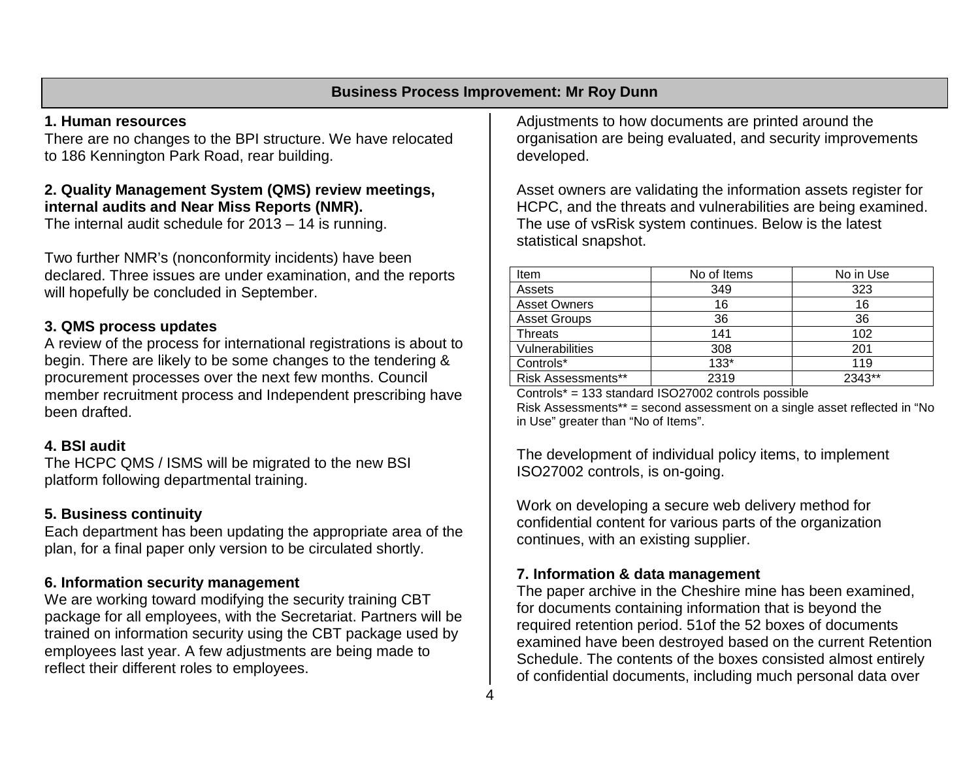#### **Business Process Improvement: Mr Roy Dunn**

#### **1. Human resources**

There are no changes to the BPI structure. We have relocated to 186 Kennington Park Road, rear building.

#### **2. Quality Management System (QMS) review meetings, internal audits and Near Miss Reports (NMR).**

The internal audit schedule for 2013 – 14 is running.

Two further NMR's (nonconformity incidents) have been declared. Three issues are under examination, and the reports will hopefully be concluded in September.

#### **3. QMS process updates**

A review of the process for international registrations is about to begin. There are likely to be some changes to the tendering & procurement processes over the next few months. Council member recruitment process and Independent prescribing have been drafted.

#### **4. BSI audit**

The HCPC QMS / ISMS will be migrated to the new BSI platform following departmental training.

#### **5. Business continuity**

Each department has been updating the appropriate area of the plan, for a final paper only version to be circulated shortly.

#### **6. Information security management**

We are working toward modifying the security training CBT package for all employees, with the Secretariat. Partners will be trained on information security using the CBT package used by employees last year. A few adjustments are being made to reflect their different roles to employees.

Adjustments to how documents are printed around the organisation are being evaluated, and security improvements developed.

Asset owners are validating the information assets register for HCPC, and the threats and vulnerabilities are being examined. The use of vsRisk system continues. Below is the latest statistical snapshot.

| Item                      | No of Items | No in Use |
|---------------------------|-------------|-----------|
| Assets                    | 349         | 323       |
| <b>Asset Owners</b>       | 16          | 16        |
| <b>Asset Groups</b>       | 36          | 36        |
| <b>Threats</b>            | 141         | 102       |
| Vulnerabilities           | 308         | 201       |
| Controls*                 | $133*$      | 119       |
| <b>Risk Assessments**</b> | 2319        | 2343**    |

Controls\* = 133 standard ISO27002 controls possible

Risk Assessments\*\* = second assessment on a single asset reflected in "No in Use" greater than "No of Items".

The development of individual policy items, to implement ISO27002 controls, is on-going.

Work on developing a secure web delivery method for confidential content for various parts of the organization continues, with an existing supplier.

#### **7. Information & data management**

The paper archive in the Cheshire mine has been examined, for documents containing information that is beyond the required retention period. 51of the 52 boxes of documents examined have been destroyed based on the current Retention Schedule. The contents of the boxes consisted almost entirely of confidential documents, including much personal data over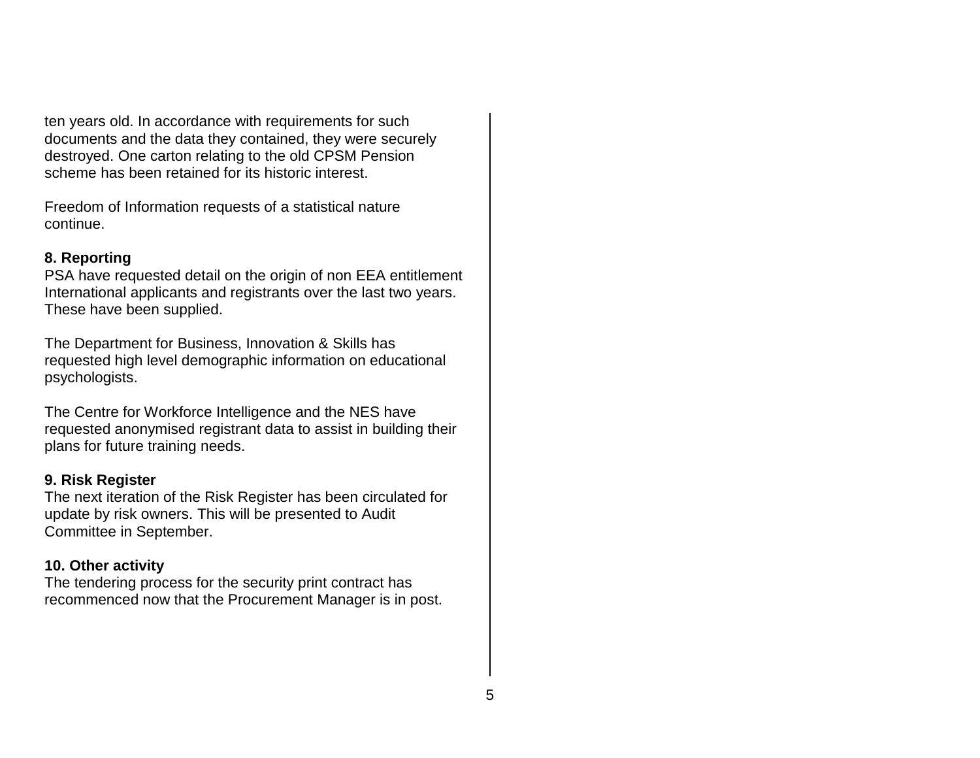ten years old. In accordance with requirements for such documents and the data they contained, they were securely destroyed. One carton relating to the old CPSM Pension scheme has been retained for its historic interest.

Freedom of Information requests of a statistical nature continue.

#### **8. Reporting**

PSA have requested detail on the origin of non EEA entitlement International applicants and registrants over the last two years. These have been supplied.

The Department for Business, Innovation & Skills has requested high level demographic information on educational psychologists.

The Centre for Workforce Intelligence and the NES have requested anonymised registrant data to assist in building their plans for future training needs.

#### **9. Risk Register**

The next iteration of the Risk Register has been circulated for update by risk owners. This will be presented to Audit Committee in September.

#### **10. Other activity**

The tendering process for the security print contract has recommenced now that the Procurement Manager is in post.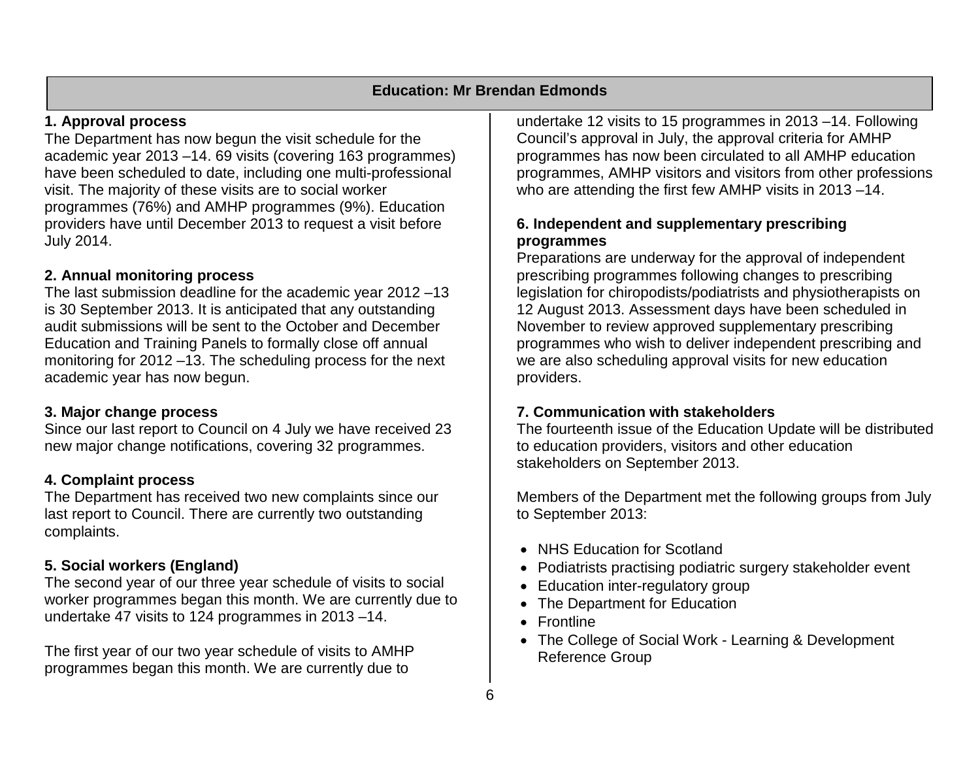#### **1. Approval process**

The Department has now begun the visit schedule for the academic year 2013 –14. 69 visits (covering 163 programmes) have been scheduled to date, including one multi-professional visit. The majority of these visits are to social worker programmes (76%) and AMHP programmes (9%). Education providers have until December 2013 to request a visit before July 2014.

#### **2. Annual monitoring process**

The last submission deadline for the academic year 2012 –13 is 30 September 2013. It is anticipated that any outstanding audit submissions will be sent to the October and December Education and Training Panels to formally close off annual monitoring for 2012 –13. The scheduling process for the next academic year has now begun.

### **3. Major change process**

Since our last report to Council on 4 July we have received 23 new major change notifications, covering 32 programmes.

# **4. Complaint process**

The Department has received two new complaints since our last report to Council. There are currently two outstanding complaints.

# **5. Social workers (England)**

The second year of our three year schedule of visits to social worker programmes began this month. We are currently due to undertake 47 visits to 124 programmes in 2013 –14.

The first year of our two year schedule of visits to AMHP programmes began this month. We are currently due to

undertake 12 visits to 15 programmes in 2013 –14. Following Council's approval in July, the approval criteria for AMHP programmes has now been circulated to all AMHP education programmes, AMHP visitors and visitors from other professions who are attending the first few AMHP visits in 2013 –14.

### **6. Independent and supplementary prescribing programmes**

Preparations are underway for the approval of independent prescribing programmes following changes to prescribing legislation for chiropodists/podiatrists and physiotherapists on 12 August 2013. Assessment days have been scheduled in November to review approved supplementary prescribing programmes who wish to deliver independent prescribing and we are also scheduling approval visits for new education providers.

# **7. Communication with stakeholders**

The fourteenth issue of the Education Update will be distributed to education providers, visitors and other education stakeholders on September 2013.

Members of the Department met the following groups from July to September 2013:

- NHS Education for Scotland
- Podiatrists practising podiatric surgery stakeholder event
- Education inter-regulatory group
- The Department for Education
- Frontline
- The College of Social Work Learning & Development Reference Group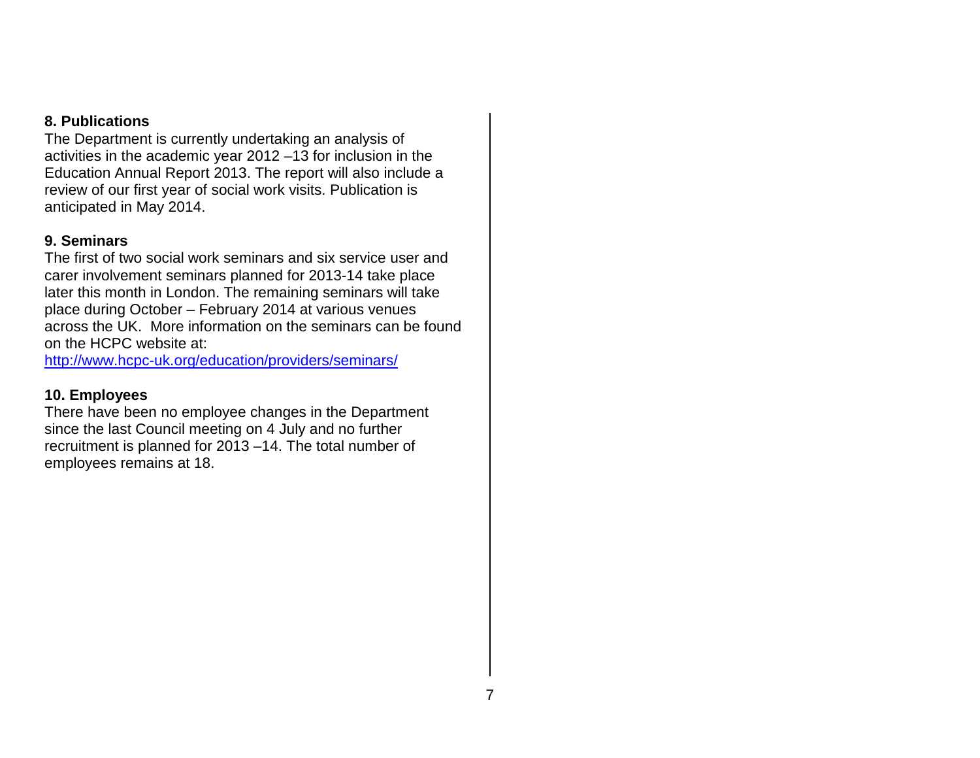#### **8. Publications**

The Department is currently undertaking an analysis of activities in the academic year 2012 –13 for inclusion in the Education Annual Report 2013. The report will also include a review of our first year of social work visits. Publication is anticipated in May 2014.

#### **9. Seminars**

The first of two social work seminars and six service user and carer involvement seminars planned for 2013-14 take place later this month in London. The remaining seminars will take place during October – February 2014 at various venues across the UK. More information on the seminars can be found on the HCPC website at:

http://www.hcpc-uk.org/education/providers/seminars/

### **10. Employees**

There have been no employee changes in the Department since the last Council meeting on 4 July and no further recruitment is planned for 2013 –14. The total number of employees remains at 18.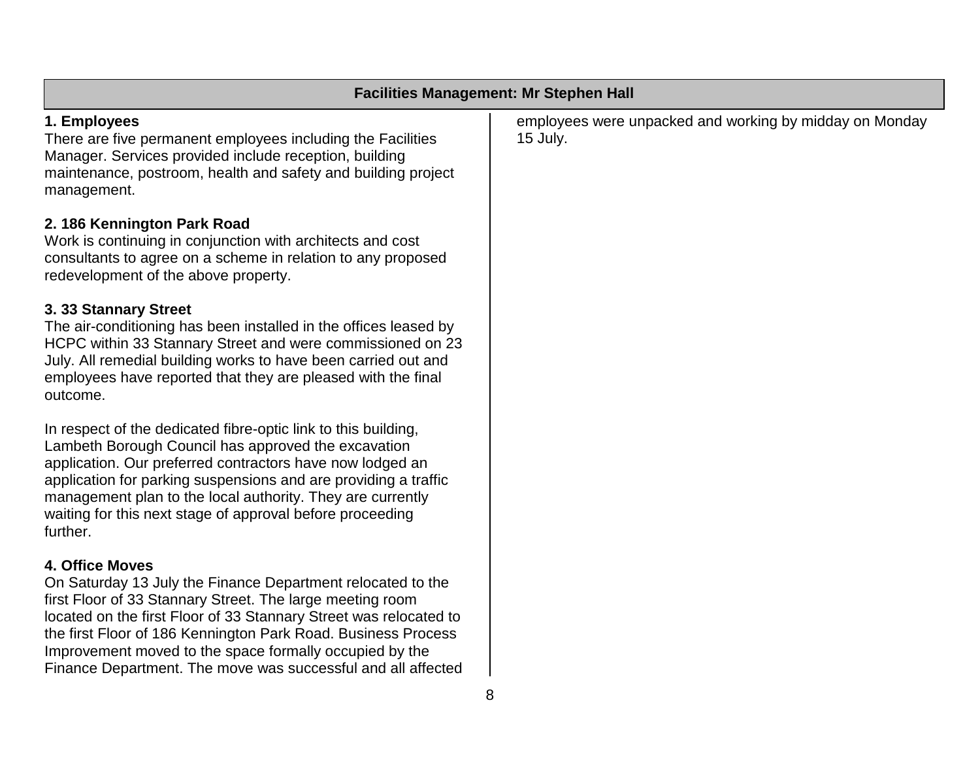|                                                                                                                                                                                                                                                                                                                                                                                                                     | <b>Facilities Management: Mr Stephen Hall</b>                       |
|---------------------------------------------------------------------------------------------------------------------------------------------------------------------------------------------------------------------------------------------------------------------------------------------------------------------------------------------------------------------------------------------------------------------|---------------------------------------------------------------------|
| 1. Employees<br>There are five permanent employees including the Facilities<br>Manager. Services provided include reception, building<br>maintenance, postroom, health and safety and building project<br>management.                                                                                                                                                                                               | employees were unpacked and working by midday on Monday<br>15 July. |
| 2. 186 Kennington Park Road<br>Work is continuing in conjunction with architects and cost<br>consultants to agree on a scheme in relation to any proposed<br>redevelopment of the above property.                                                                                                                                                                                                                   |                                                                     |
| 3. 33 Stannary Street<br>The air-conditioning has been installed in the offices leased by<br>HCPC within 33 Stannary Street and were commissioned on 23<br>July. All remedial building works to have been carried out and<br>employees have reported that they are pleased with the final<br>outcome.                                                                                                               |                                                                     |
| In respect of the dedicated fibre-optic link to this building,<br>Lambeth Borough Council has approved the excavation<br>application. Our preferred contractors have now lodged an<br>application for parking suspensions and are providing a traffic<br>management plan to the local authority. They are currently<br>waiting for this next stage of approval before proceeding<br>further.                        |                                                                     |
| <b>4. Office Moves</b><br>On Saturday 13 July the Finance Department relocated to the<br>first Floor of 33 Stannary Street. The large meeting room<br>located on the first Floor of 33 Stannary Street was relocated to<br>the first Floor of 186 Kennington Park Road. Business Process<br>Improvement moved to the space formally occupied by the<br>Finance Department. The move was successful and all affected |                                                                     |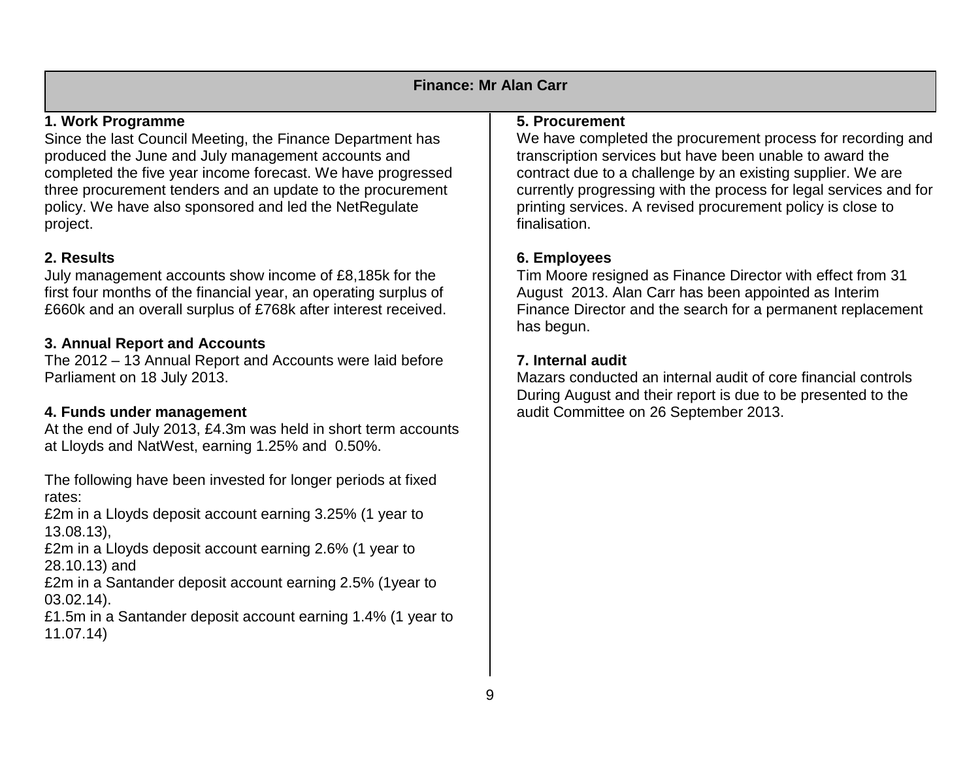| <b>Finance: Mr Alan Carr</b>                                                                                                     |                                                                                                                                                   |  |  |  |  |  |  |  |  |  |  |  |
|----------------------------------------------------------------------------------------------------------------------------------|---------------------------------------------------------------------------------------------------------------------------------------------------|--|--|--|--|--|--|--|--|--|--|--|
| 1. Work Programme                                                                                                                | 5. Procurement                                                                                                                                    |  |  |  |  |  |  |  |  |  |  |  |
| Since the last Council Meeting, the Finance Department has                                                                       | We have completed the procurement process for recording and                                                                                       |  |  |  |  |  |  |  |  |  |  |  |
| produced the June and July management accounts and<br>completed the five year income forecast. We have progressed                | transcription services but have been unable to award the<br>contract due to a challenge by an existing supplier. We are                           |  |  |  |  |  |  |  |  |  |  |  |
| three procurement tenders and an update to the procurement<br>policy. We have also sponsored and led the NetRegulate<br>project. | currently progressing with the process for legal services and for<br>printing services. A revised procurement policy is close to<br>finalisation. |  |  |  |  |  |  |  |  |  |  |  |
| 2. Results                                                                                                                       | 6. Employees                                                                                                                                      |  |  |  |  |  |  |  |  |  |  |  |
| July management accounts show income of £8,185k for the                                                                          | Tim Moore resigned as Finance Director with effect from 31                                                                                        |  |  |  |  |  |  |  |  |  |  |  |
| first four months of the financial year, an operating surplus of                                                                 | August 2013. Alan Carr has been appointed as Interim                                                                                              |  |  |  |  |  |  |  |  |  |  |  |
| £660k and an overall surplus of £768k after interest received.                                                                   | Finance Director and the search for a permanent replacement<br>has begun.                                                                         |  |  |  |  |  |  |  |  |  |  |  |
| 3. Annual Report and Accounts                                                                                                    |                                                                                                                                                   |  |  |  |  |  |  |  |  |  |  |  |
| The 2012 – 13 Annual Report and Accounts were laid before                                                                        | 7. Internal audit                                                                                                                                 |  |  |  |  |  |  |  |  |  |  |  |
| Parliament on 18 July 2013.                                                                                                      | Mazars conducted an internal audit of core financial controls<br>During August and their report is due to be presented to the                     |  |  |  |  |  |  |  |  |  |  |  |
| 4. Funds under management                                                                                                        | audit Committee on 26 September 2013.                                                                                                             |  |  |  |  |  |  |  |  |  |  |  |

At the end of July 2013, £4.3m was held in short term accounts at Lloyds and NatWest, earning 1.25% and 0.50%.

The following have been invested for longer periods at fixed rates:

£2m in a Lloyds deposit account earning 3.25% (1 year to 13.08.13),

£2m in a Lloyds deposit account earning 2.6% (1 year to 28.10.13) and

£2m in a Santander deposit account earning 2.5% (1year to 03.02.14).

£1.5m in a Santander deposit account earning 1.4% (1 year to 11.07.14)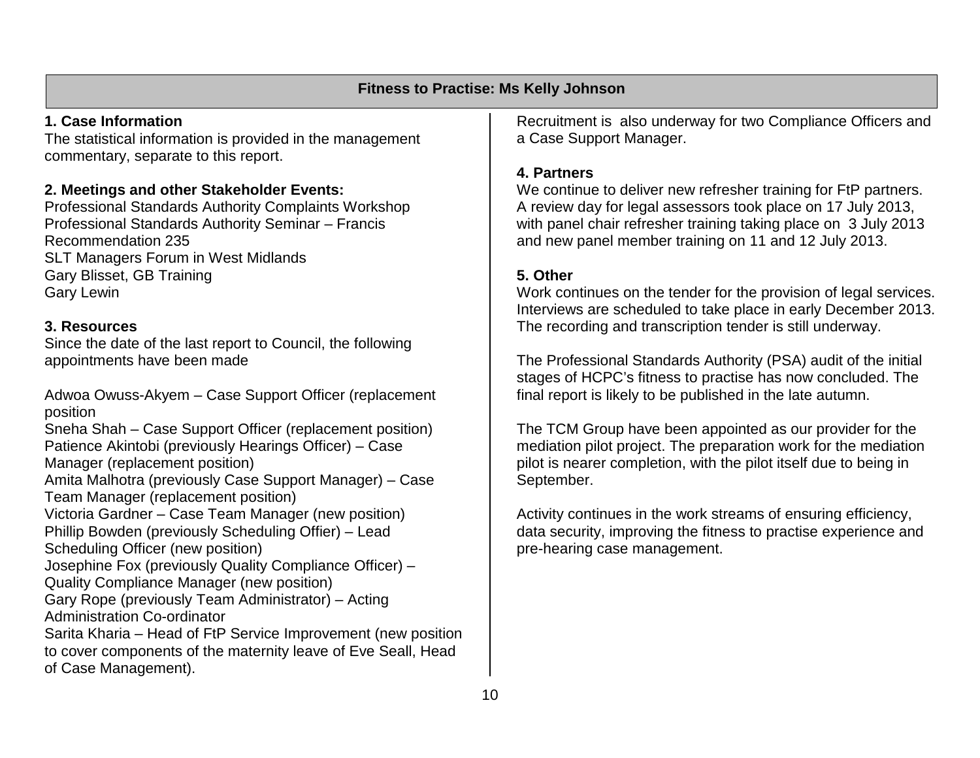#### **Fitness to Practise: Ms Kelly Johnson**

#### **1. Case Information**

The statistical information is provided in the management commentary, separate to this report.

#### **2. Meetings and other Stakeholder Events:**

Professional Standards Authority Complaints Workshop Professional Standards Authority Seminar – Francis Recommendation 235 SLT Managers Forum in West Midlands Gary Blisset, GB Training Gary Lewin

#### **3. Resources**

Since the date of the last report to Council, the following appointments have been made

Adwoa Owuss-Akyem – Case Support Officer (replacement position

Sneha Shah – Case Support Officer (replacement position) Patience Akintobi (previously Hearings Officer) – Case Manager (replacement position) Amita Malhotra (previously Case Support Manager) – Case Team Manager (replacement position) Victoria Gardner – Case Team Manager (new position) Phillip Bowden (previously Scheduling Offier) – Lead Scheduling Officer (new position) Josephine Fox (previously Quality Compliance Officer) – Quality Compliance Manager (new position) Gary Rope (previously Team Administrator) – Acting Administration Co-ordinator Sarita Kharia – Head of FtP Service Improvement (new position to cover components of the maternity leave of Eve Seall, Head of Case Management).

Recruitment is also underway for two Compliance Officers and a Case Support Manager.

#### **4. Partners**

We continue to deliver new refresher training for FtP partners. A review day for legal assessors took place on 17 July 2013, with panel chair refresher training taking place on 3 July 2013 and new panel member training on 11 and 12 July 2013.

#### **5. Other**

Work continues on the tender for the provision of legal services. Interviews are scheduled to take place in early December 2013. The recording and transcription tender is still underway.

The Professional Standards Authority (PSA) audit of the initial stages of HCPC's fitness to practise has now concluded. The final report is likely to be published in the late autumn.

The TCM Group have been appointed as our provider for the mediation pilot project. The preparation work for the mediation pilot is nearer completion, with the pilot itself due to being in September.

Activity continues in the work streams of ensuring efficiency, data security, improving the fitness to practise experience and pre-hearing case management.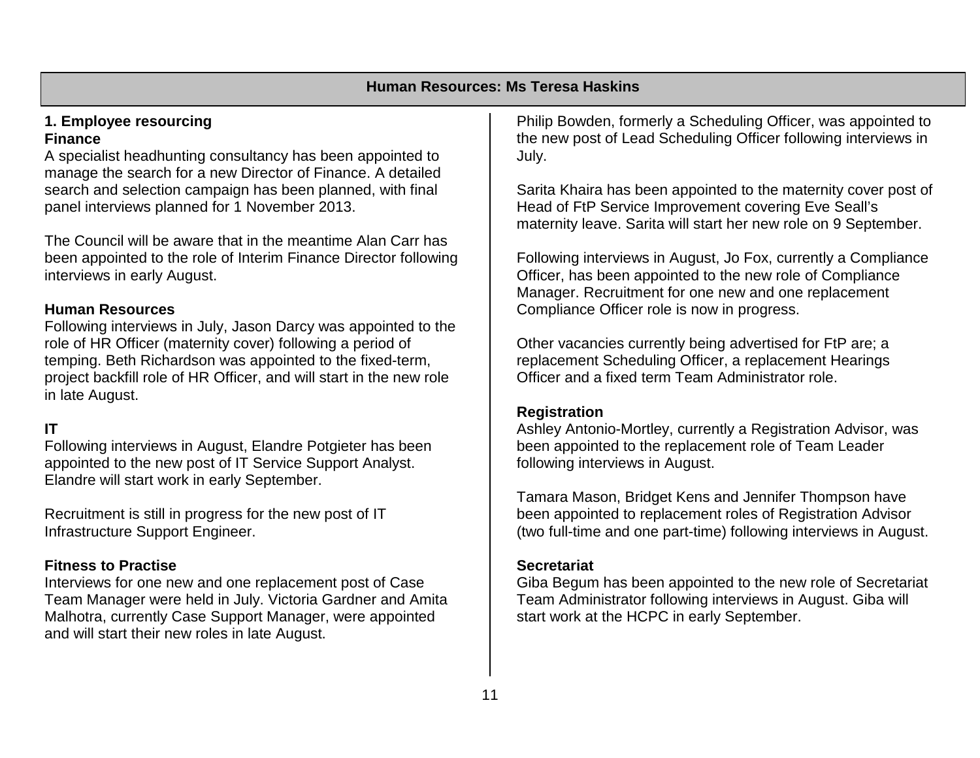#### **1. Employee resourcing Finance**

A specialist headhunting consultancy has been appointed to manage the search for a new Director of Finance. A detailed search and selection campaign has been planned, with final panel interviews planned for 1 November 2013.

The Council will be aware that in the meantime Alan Carr has been appointed to the role of Interim Finance Director following interviews in early August.

#### **Human Resources**

Following interviews in July, Jason Darcy was appointed to the role of HR Officer (maternity cover) following a period of temping. Beth Richardson was appointed to the fixed-term, project backfill role of HR Officer, and will start in the new role in late August.

#### **IT**

Following interviews in August, Elandre Potgieter has been appointed to the new post of IT Service Support Analyst. Elandre will start work in early September.

Recruitment is still in progress for the new post of IT Infrastructure Support Engineer.

#### **Fitness to Practise**

Interviews for one new and one replacement post of Case Team Manager were held in July. Victoria Gardner and Amita Malhotra, currently Case Support Manager, were appointed and will start their new roles in late August.

Philip Bowden, formerly a Scheduling Officer, was appointed to the new post of Lead Scheduling Officer following interviews in July.

Sarita Khaira has been appointed to the maternity cover post of Head of FtP Service Improvement covering Eve Seall's maternity leave. Sarita will start her new role on 9 September.

Following interviews in August, Jo Fox, currently a Compliance Officer, has been appointed to the new role of Compliance Manager. Recruitment for one new and one replacement Compliance Officer role is now in progress.

Other vacancies currently being advertised for FtP are; a replacement Scheduling Officer, a replacement Hearings Officer and a fixed term Team Administrator role.

#### **Registration**

Ashley Antonio-Mortley, currently a Registration Advisor, was been appointed to the replacement role of Team Leader following interviews in August.

Tamara Mason, Bridget Kens and Jennifer Thompson have been appointed to replacement roles of Registration Advisor (two full-time and one part-time) following interviews in August.

#### **Secretariat**

Giba Begum has been appointed to the new role of Secretariat Team Administrator following interviews in August. Giba will start work at the HCPC in early September.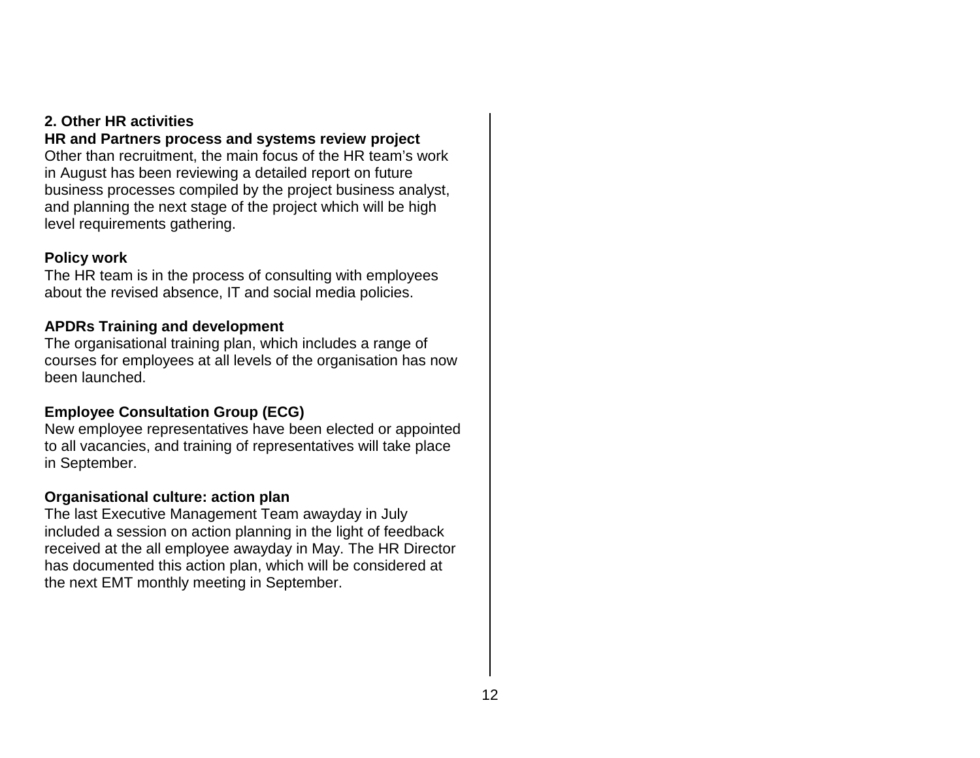#### **2. Other HR activities**

#### **HR and Partners process and systems review project**

Other than recruitment, the main focus of the HR team's work in August has been reviewing a detailed report on future business processes compiled by the project business analyst, and planning the next stage of the project which will be high level requirements gathering.

#### **Policy work**

The HR team is in the process of consulting with employees about the revised absence, IT and social media policies.

#### **APDRs Training and development**

The organisational training plan, which includes a range of courses for employees at all levels of the organisation has now been launched.

### **Employee Consultation Group (ECG)**

New employee representatives have been elected or appointed to all vacancies, and training of representatives will take place in September.

#### **Organisational culture: action plan**

The last Executive Management Team awayday in July included a session on action planning in the light of feedback received at the all employee awayday in May. The HR Director has documented this action plan, which will be considered at the next EMT monthly meeting in September.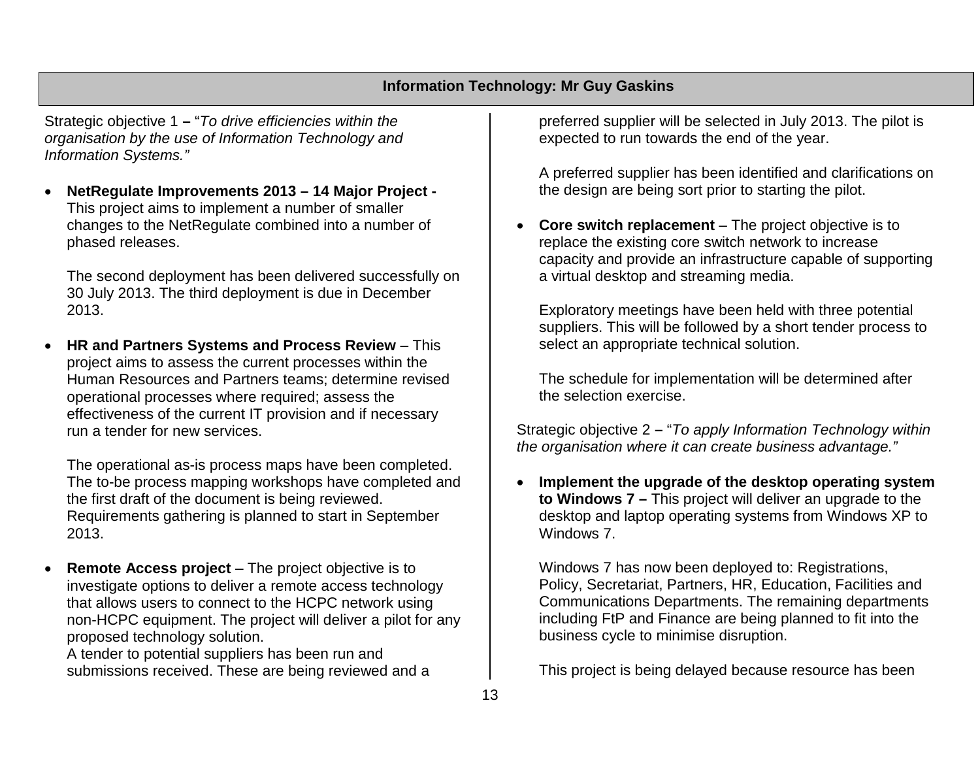#### **Information Technology: Mr Guy Gaskins**

Strategic objective 1 **–** "*To drive efficiencies within the organisation by the use of Information Technology and Information Systems."*

• **NetRegulate Improvements 2013 – 14 Major Project -** This project aims to implement a number of smaller changes to the NetRegulate combined into a number of phased releases.

The second deployment has been delivered successfully on 30 July 2013. The third deployment is due in December 2013.

• **HR and Partners Systems and Process Review** – This project aims to assess the current processes within the Human Resources and Partners teams; determine revised operational processes where required; assess the effectiveness of the current IT provision and if necessary run a tender for new services.

The operational as-is process maps have been completed. The to-be process mapping workshops have completed and the first draft of the document is being reviewed. Requirements gathering is planned to start in September 2013.

• **Remote Access project** – The project objective is to investigate options to deliver a remote access technology that allows users to connect to the HCPC network using non-HCPC equipment. The project will deliver a pilot for any proposed technology solution.

A tender to potential suppliers has been run and submissions received. These are being reviewed and a preferred supplier will be selected in July 2013. The pilot is expected to run towards the end of the year.

A preferred supplier has been identified and clarifications on the design are being sort prior to starting the pilot.

• **Core switch replacement** – The project objective is to replace the existing core switch network to increase capacity and provide an infrastructure capable of supporting a virtual desktop and streaming media.

Exploratory meetings have been held with three potential suppliers. This will be followed by a short tender process to select an appropriate technical solution.

The schedule for implementation will be determined after the selection exercise.

Strategic objective 2 **–** "*To apply Information Technology within the organisation where it can create business advantage."*

• **Implement the upgrade of the desktop operating system to Windows 7 –** This project will deliver an upgrade to the desktop and laptop operating systems from Windows XP to Windows 7.

Windows 7 has now been deployed to: Registrations, Policy, Secretariat, Partners, HR, Education, Facilities and Communications Departments. The remaining departments including FtP and Finance are being planned to fit into the business cycle to minimise disruption.

This project is being delayed because resource has been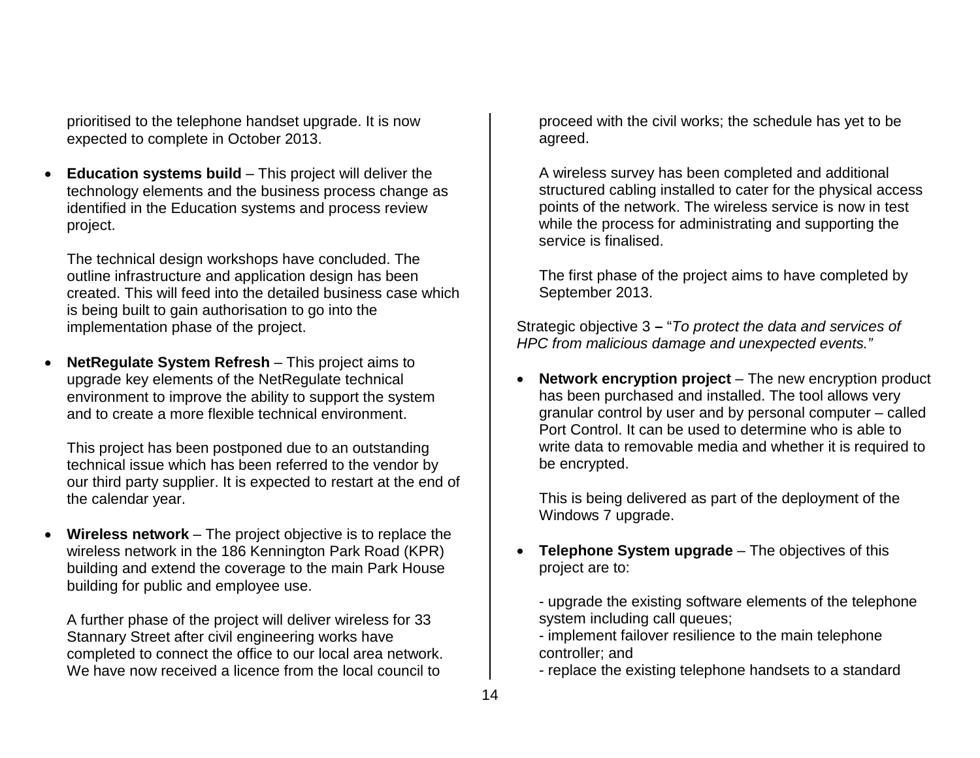prioritised to the telephone handset upgrade. It is now expected to complete in October 2013.

• **Education systems build** – This project will deliver the technology elements and the business process change as identified in the Education systems and process review project.

The technical design workshops have concluded. The outline infrastructure and application design has been created. This will feed into the detailed business case which is being built to gain authorisation to go into the implementation phase of the project.

• **NetRegulate System Refresh** – This project aims to upgrade key elements of the NetRegulate technical environment to improve the ability to support the system and to create a more flexible technical environment.

This project has been postponed due to an outstanding technical issue which has been referred to the vendor by our third party supplier. It is expected to restart at the end of the calendar year.

• **Wireless network** – The project objective is to replace the wireless network in the 186 Kennington Park Road (KPR) building and extend the coverage to the main Park House building for public and employee use.

A further phase of the project will deliver wireless for 33 Stannary Street after civil engineering works have completed to connect the office to our local area network. We have now received a licence from the local council to

proceed with the civil works; the schedule has yet to be agreed.

A wireless survey has been completed and additional structured cabling installed to cater for the physical access points of the network. The wireless service is now in test while the process for administrating and supporting the service is finalised.

The first phase of the project aims to have completed by September 2013.

Strategic objective 3 **–** "*To protect the data and services of HPC from malicious damage and unexpected events."*

• **Network encryption project** – The new encryption product has been purchased and installed. The tool allows very granular control by user and by personal computer – called Port Control. It can be used to determine who is able to write data to removable media and whether it is required to be encrypted.

This is being delivered as part of the deployment of the Windows 7 upgrade.

• **Telephone System upgrade** – The objectives of this project are to:

- upgrade the existing software elements of the telephone system including call queues;

- implement failover resilience to the main telephone controller; and

- replace the existing telephone handsets to a standard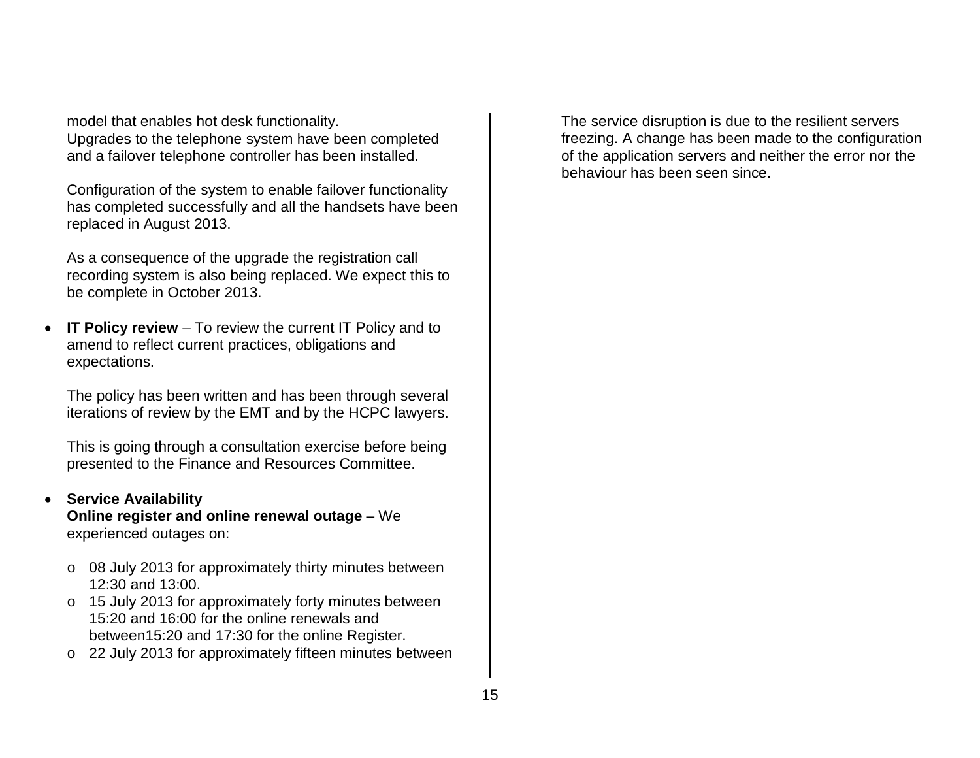model that enables hot desk functionality. Upgrades to the telephone system have been completed and a failover telephone controller has been installed.

Configuration of the system to enable failover functionality has completed successfully and all the handsets have been replaced in August 2013.

As a consequence of the upgrade the registration call recording system is also being replaced. We expect this to be complete in October 2013.

• **IT Policy review** – To review the current IT Policy and to amend to reflect current practices, obligations and expectations.

The policy has been written and has been through several iterations of review by the EMT and by the HCPC lawyers.

This is going through a consultation exercise before being presented to the Finance and Resources Committee.

#### • **Service Availability**

**Online register and online renewal outage** – We experienced outages on:

- o 08 July 2013 for approximately thirty minutes between 12:30 and 13:00.
- o 15 July 2013 for approximately forty minutes between 15:20 and 16:00 for the online renewals and between15:20 and 17:30 for the online Register.
- o 22 July 2013 for approximately fifteen minutes between

The service disruption is due to the resilient servers freezing. A change has been made to the configuration of the application servers and neither the error nor the behaviour has been seen since.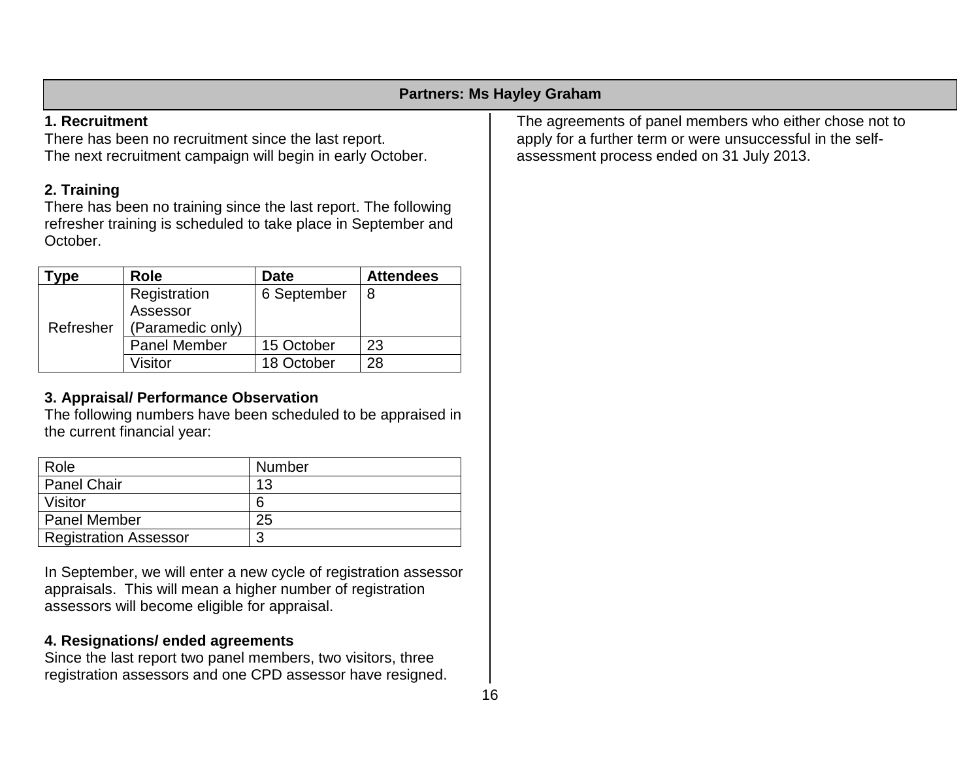#### **Partners: Ms Hayley Graham**

### **1. Recruitment**

There has been no recruitment since the last report. The next recruitment campaign will begin in early October.

# **2. Training**

There has been no training since the last report. The following refresher training is scheduled to take place in September and October.

| vpe       | <b>Role</b>         | <b>Date</b> | <b>Attendees</b> |
|-----------|---------------------|-------------|------------------|
|           | Registration        | 6 September | 8                |
| Refresher | Assessor            |             |                  |
|           | (Paramedic only)    |             |                  |
|           | <b>Panel Member</b> | 15 October  | 23               |
|           | Visitor             | 18 October  | 28               |

### **3. Appraisal/ Performance Observation**

The following numbers have been scheduled to be appraised in the current financial year:

| Role                         | Number |
|------------------------------|--------|
| <b>Panel Chair</b>           | 13     |
| Visitor                      | 6      |
| <b>Panel Member</b>          | 25     |
| <b>Registration Assessor</b> | າ      |

In September, we will enter a new cycle of registration assessor appraisals. This will mean a higher number of registration assessors will become eligible for appraisal.

# **4. Resignations/ ended agreements**

Since the last report two panel members, two visitors, three registration assessors and one CPD assessor have resigned. The agreements of panel members who either chose not to apply for a further term or were unsuccessful in the selfassessment process ended on 31 July 2013.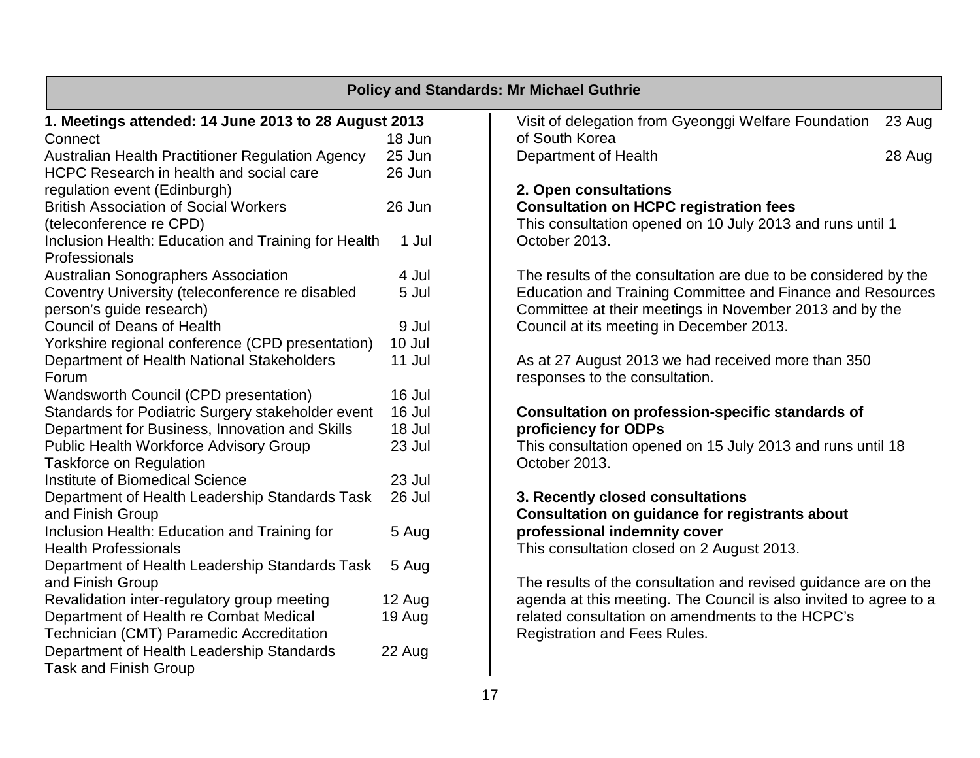|                                                                           |        | <b>Policy and Standards: Mr Michael Guthrie</b>                   |        |
|---------------------------------------------------------------------------|--------|-------------------------------------------------------------------|--------|
| 1. Meetings attended: 14 June 2013 to 28 August 2013                      |        | Visit of delegation from Gyeonggi Welfare Foundation              | 23 Aug |
| Connect                                                                   | 18 Jun | of South Korea                                                    |        |
| Australian Health Practitioner Regulation Agency                          | 25 Jun | Department of Health                                              | 28 Aug |
| HCPC Research in health and social care                                   | 26 Jun |                                                                   |        |
| regulation event (Edinburgh)                                              |        | 2. Open consultations                                             |        |
| <b>British Association of Social Workers</b>                              | 26 Jun | <b>Consultation on HCPC registration fees</b>                     |        |
| (teleconference re CPD)                                                   |        | This consultation opened on 10 July 2013 and runs until 1         |        |
| Inclusion Health: Education and Training for Health<br>Professionals      | 1 Jul  | October 2013.                                                     |        |
| <b>Australian Sonographers Association</b>                                | 4 Jul  | The results of the consultation are due to be considered by the   |        |
| Coventry University (teleconference re disabled                           | 5 Jul  | Education and Training Committee and Finance and Resources        |        |
| person's guide research)                                                  |        | Committee at their meetings in November 2013 and by the           |        |
| <b>Council of Deans of Health</b>                                         | 9 Jul  | Council at its meeting in December 2013.                          |        |
| Yorkshire regional conference (CPD presentation)                          | 10 Jul |                                                                   |        |
| Department of Health National Stakeholders                                | 11 Jul | As at 27 August 2013 we had received more than 350                |        |
| Forum                                                                     |        | responses to the consultation.                                    |        |
| <b>Wandsworth Council (CPD presentation)</b>                              | 16 Jul |                                                                   |        |
| Standards for Podiatric Surgery stakeholder event                         | 16 Jul | <b>Consultation on profession-specific standards of</b>           |        |
| Department for Business, Innovation and Skills                            | 18 Jul | proficiency for ODPs                                              |        |
| <b>Public Health Workforce Advisory Group</b>                             | 23 Jul | This consultation opened on 15 July 2013 and runs until 18        |        |
| <b>Taskforce on Regulation</b>                                            |        | October 2013.                                                     |        |
| Institute of Biomedical Science                                           | 23 Jul |                                                                   |        |
| Department of Health Leadership Standards Task                            | 26 Jul | 3. Recently closed consultations                                  |        |
| and Finish Group                                                          |        | Consultation on guidance for registrants about                    |        |
| Inclusion Health: Education and Training for                              | 5 Aug  | professional indemnity cover                                      |        |
| <b>Health Professionals</b>                                               |        | This consultation closed on 2 August 2013.                        |        |
| Department of Health Leadership Standards Task                            | 5 Aug  |                                                                   |        |
| and Finish Group                                                          |        | The results of the consultation and revised guidance are on the   |        |
| Revalidation inter-regulatory group meeting                               | 12 Aug | agenda at this meeting. The Council is also invited to agree to a |        |
| Department of Health re Combat Medical                                    | 19 Aug | related consultation on amendments to the HCPC's                  |        |
| Technician (CMT) Paramedic Accreditation                                  |        | <b>Registration and Fees Rules.</b>                               |        |
| Department of Health Leadership Standards<br><b>Task and Finish Group</b> | 22 Aug |                                                                   |        |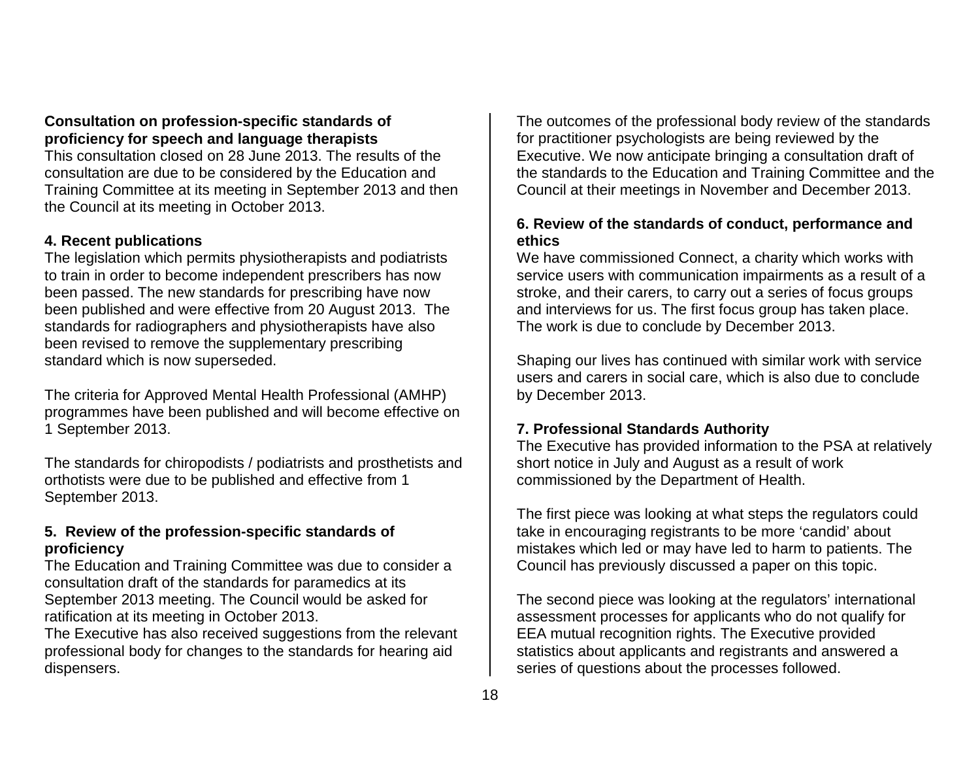#### **Consultation on profession-specific standards of proficiency for speech and language therapists**

This consultation closed on 28 June 2013. The results of the consultation are due to be considered by the Education and Training Committee at its meeting in September 2013 and then the Council at its meeting in October 2013.

#### **4. Recent publications**

The legislation which permits physiotherapists and podiatrists to train in order to become independent prescribers has now been passed. The new standards for prescribing have now been published and were effective from 20 August 2013. The standards for radiographers and physiotherapists have also been revised to remove the supplementary prescribing standard which is now superseded.

The criteria for Approved Mental Health Professional (AMHP) programmes have been published and will become effective on 1 September 2013.

The standards for chiropodists / podiatrists and prosthetists and orthotists were due to be published and effective from 1 September 2013.

#### **5. Review of the profession-specific standards of proficiency**

The Education and Training Committee was due to consider a consultation draft of the standards for paramedics at its September 2013 meeting. The Council would be asked for ratification at its meeting in October 2013.

The Executive has also received suggestions from the relevant professional body for changes to the standards for hearing aid dispensers.

The outcomes of the professional body review of the standards for practitioner psychologists are being reviewed by the Executive. We now anticipate bringing a consultation draft of the standards to the Education and Training Committee and the Council at their meetings in November and December 2013.

#### **6. Review of the standards of conduct, performance and ethics**

We have commissioned Connect, a charity which works with service users with communication impairments as a result of a stroke, and their carers, to carry out a series of focus groups and interviews for us. The first focus group has taken place. The work is due to conclude by December 2013.

Shaping our lives has continued with similar work with service users and carers in social care, which is also due to conclude by December 2013.

#### **7. Professional Standards Authority**

The Executive has provided information to the PSA at relatively short notice in July and August as a result of work commissioned by the Department of Health.

The first piece was looking at what steps the regulators could take in encouraging registrants to be more 'candid' about mistakes which led or may have led to harm to patients. The Council has previously discussed a paper on this topic.

The second piece was looking at the regulators' international assessment processes for applicants who do not qualify for EEA mutual recognition rights. The Executive provided statistics about applicants and registrants and answered a series of questions about the processes followed.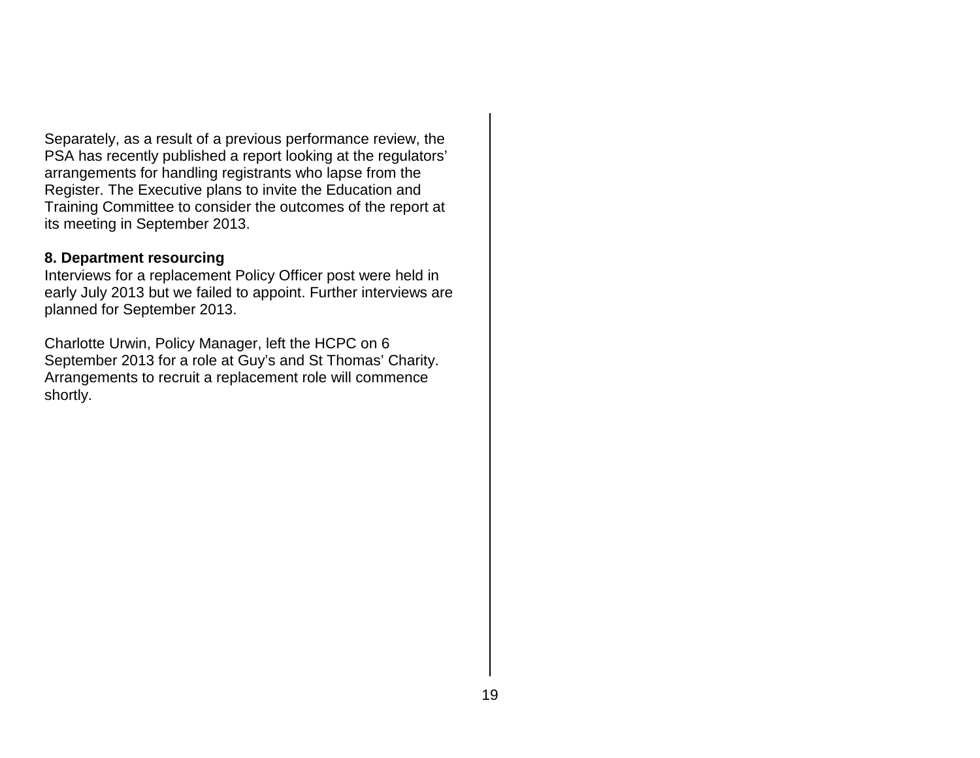Separately, as a result of a previous performance review, the PSA has recently published a report looking at the regulators' arrangements for handling registrants who lapse from the Register. The Executive plans to invite the Education and Training Committee to consider the outcomes of the report at its meeting in September 2013.

#### **8. Department resourcing**

Interviews for a replacement Policy Officer post were held in early July 2013 but we failed to appoint. Further interviews are planned for September 2013.

Charlotte Urwin, Policy Manager, left the HCPC on 6 September 2013 for a role at Guy's and St Thomas' Charity. Arrangements to recruit a replacement role will commence shortly.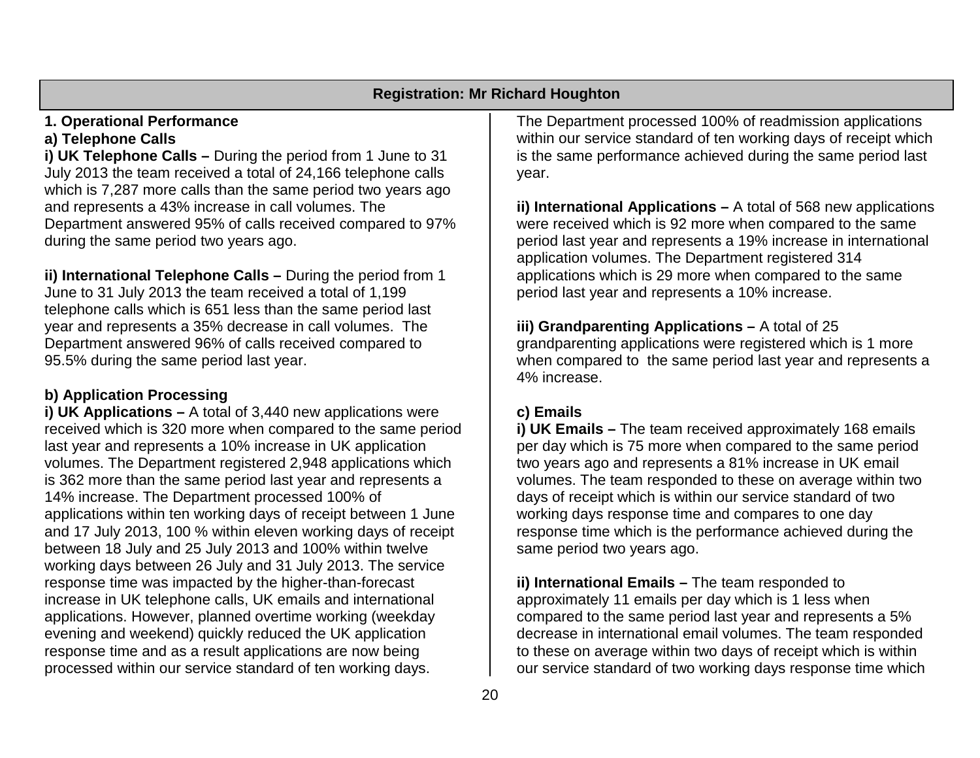#### **Registration: Mr Richard Houghton**

# **1. Operational Performance**

## **a) Telephone Calls**

**i) UK Telephone Calls –** During the period from 1 June to 31 July 2013 the team received a total of 24,166 telephone calls which is 7,287 more calls than the same period two years ago and represents a 43% increase in call volumes. The Department answered 95% of calls received compared to 97% during the same period two years ago.

**ii) International Telephone Calls –** During the period from 1 June to 31 July 2013 the team received a total of 1,199 telephone calls which is 651 less than the same period last year and represents a 35% decrease in call volumes. The Department answered 96% of calls received compared to 95.5% during the same period last year.

# **b) Application Processing**

**i) UK Applications –** A total of 3,440 new applications were received which is 320 more when compared to the same period last year and represents a 10% increase in UK application volumes. The Department registered 2,948 applications which is 362 more than the same period last year and represents a 14% increase. The Department processed 100% of applications within ten working days of receipt between 1 June and 17 July 2013, 100 % within eleven working days of receipt between 18 July and 25 July 2013 and 100% within twelve working days between 26 July and 31 July 2013. The service response time was impacted by the higher-than-forecast increase in UK telephone calls, UK emails and international applications. However, planned overtime working (weekday evening and weekend) quickly reduced the UK application response time and as a result applications are now being processed within our service standard of ten working days.

The Department processed 100% of readmission applications within our service standard of ten working days of receipt which is the same performance achieved during the same period last year.

**ii) International Applications –** A total of 568 new applications were received which is 92 more when compared to the same period last year and represents a 19% increase in international application volumes. The Department registered 314 applications which is 29 more when compared to the same period last year and represents a 10% increase.

**iii) Grandparenting Applications –** A total of 25 grandparenting applications were registered which is 1 more when compared to the same period last year and represents a 4% increase.

# **c) Emails**

**i) UK Emails –** The team received approximately 168 emails per day which is 75 more when compared to the same period two years ago and represents a 81% increase in UK email volumes. The team responded to these on average within two days of receipt which is within our service standard of two working days response time and compares to one day response time which is the performance achieved during the same period two years ago.

**ii) International Emails –** The team responded to approximately 11 emails per day which is 1 less when compared to the same period last year and represents a 5% decrease in international email volumes. The team responded to these on average within two days of receipt which is within our service standard of two working days response time which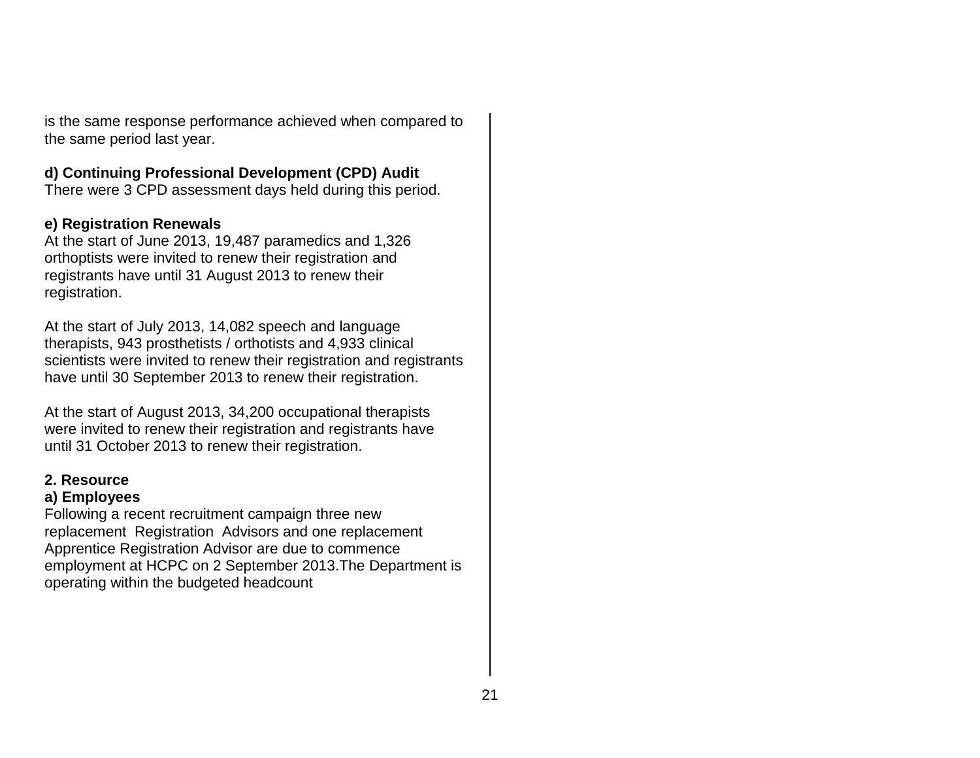is the same response performance achieved when compared to the same period last year.

#### **d) Continuing Professional Development (CPD) Audit**

There were 3 CPD assessment days held during this period.

#### **e) Registration Renewals**

At the start of June 2013, 19,487 paramedics and 1,326 orthoptists were invited to renew their registration and registrants have until 31 August 2013 to renew their registration.

At the start of July 2013, 14,082 speech and language therapists, 943 prosthetists / orthotists and 4,933 clinical scientists were invited to renew their registration and registrants have until 30 September 2013 to renew their registration.

At the start of August 2013, 34,200 occupational therapists were invited to renew their registration and registrants have until 31 October 2013 to renew their registration.

#### **2. Resource**

#### **a) Employees**

Following a recent recruitment campaign three new replacement Registration Advisors and one replacement Apprentice Registration Advisor are due to commence employment at HCPC on 2 September 2013.The Department is operating within the budgeted headcount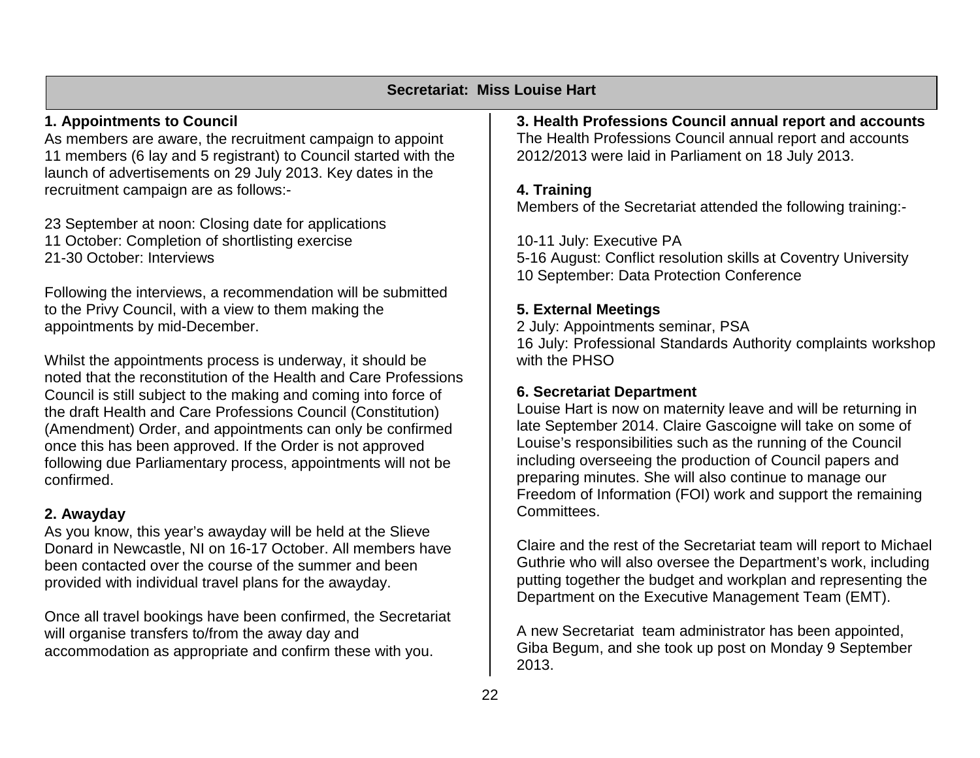#### **Secretariat: Miss Louise Hart**

#### **1. Appointments to Council**

As members are aware, the recruitment campaign to appoint 11 members (6 lay and 5 registrant) to Council started with the launch of advertisements on 29 July 2013. Key dates in the recruitment campaign are as follows:-

23 September at noon: Closing date for applications 11 October: Completion of shortlisting exercise 21-30 October: Interviews

Following the interviews, a recommendation will be submitted to the Privy Council, with a view to them making the appointments by mid-December.

Whilst the appointments process is underway, it should be noted that the reconstitution of the Health and Care Professions Council is still subject to the making and coming into force of the draft Health and Care Professions Council (Constitution) (Amendment) Order, and appointments can only be confirmed once this has been approved. If the Order is not approved following due Parliamentary process, appointments will not be confirmed.

#### **2. Awayday**

As you know, this year's awayday will be held at the Slieve Donard in Newcastle, NI on 16-17 October. All members have been contacted over the course of the summer and been provided with individual travel plans for the awayday.

Once all travel bookings have been confirmed, the Secretariat will organise transfers to/from the away day and accommodation as appropriate and confirm these with you.

**3. Health Professions Council annual report and accounts** The Health Professions Council annual report and accounts 2012/2013 were laid in Parliament on 18 July 2013.

#### **4. Training**

Members of the Secretariat attended the following training:-

10-11 July: Executive PA

5-16 August: Conflict resolution skills at Coventry University 10 September: Data Protection Conference

#### **5. External Meetings**

2 July: Appointments seminar, PSA 16 July: Professional Standards Authority complaints workshop with the PHSO

#### **6. Secretariat Department**

Louise Hart is now on maternity leave and will be returning in late September 2014. Claire Gascoigne will take on some of Louise's responsibilities such as the running of the Council including overseeing the production of Council papers and preparing minutes. She will also continue to manage our Freedom of Information (FOI) work and support the remaining Committees.

Claire and the rest of the Secretariat team will report to Michael Guthrie who will also oversee the Department's work, including putting together the budget and workplan and representing the Department on the Executive Management Team (EMT).

A new Secretariat team administrator has been appointed, Giba Begum, and she took up post on Monday 9 September 2013.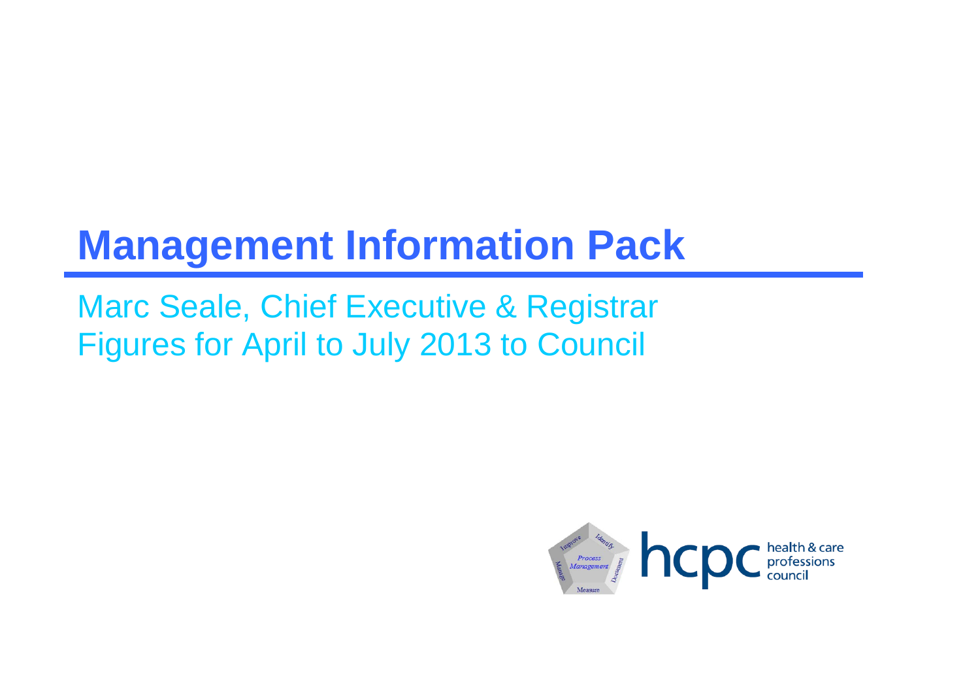# **Management Information Pack**

Marc Seale, Chief Executive & Registrar Figures for April to July 2013 to Council

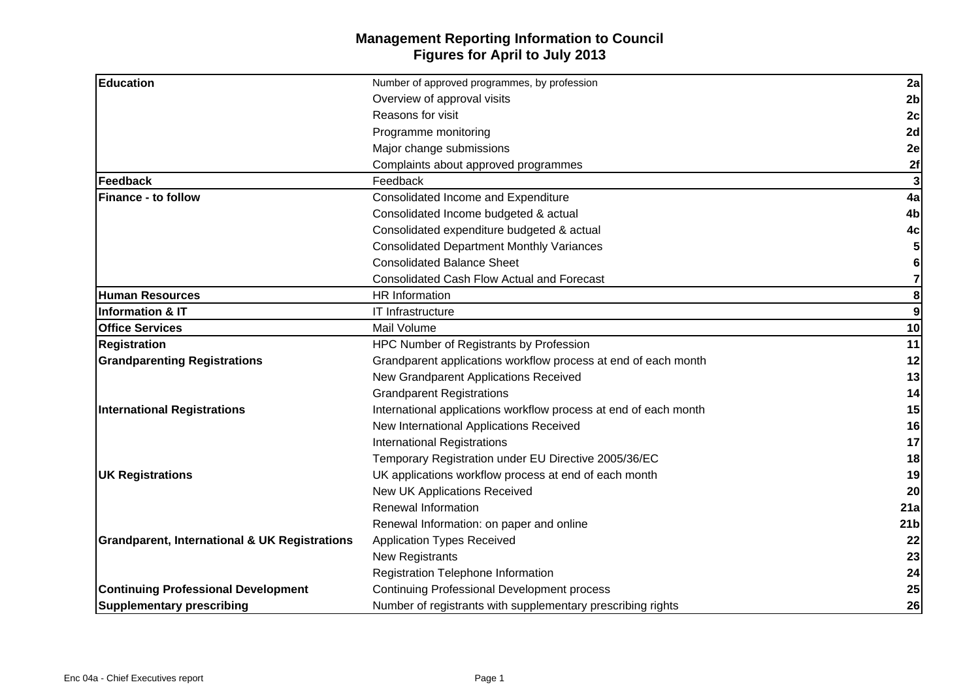### **Management Reporting Information to Council Figures for April to July 2013**

| <b>Education</b>                                         | Number of approved programmes, by profession                     | 2a               |
|----------------------------------------------------------|------------------------------------------------------------------|------------------|
|                                                          | Overview of approval visits                                      | 2 <sub>b</sub>   |
|                                                          | Reasons for visit                                                | 2c               |
|                                                          | Programme monitoring                                             | 2d               |
|                                                          | Major change submissions                                         | 2e               |
|                                                          | Complaints about approved programmes                             | 2f               |
| Feedback                                                 | Feedback                                                         | 3                |
| <b>Finance - to follow</b>                               | Consolidated Income and Expenditure                              | 4a               |
|                                                          | Consolidated Income budgeted & actual                            | 4b               |
|                                                          | Consolidated expenditure budgeted & actual                       | 4c               |
|                                                          | <b>Consolidated Department Monthly Variances</b>                 | 5                |
|                                                          | <b>Consolidated Balance Sheet</b>                                | 6                |
|                                                          | <b>Consolidated Cash Flow Actual and Forecast</b>                | 7                |
| <b>Human Resources</b>                                   | <b>HR</b> Information                                            | 8                |
| <b>Information &amp; IT</b>                              | IT Infrastructure                                                | $\boldsymbol{9}$ |
| <b>Office Services</b>                                   | Mail Volume                                                      | 10               |
| <b>Registration</b>                                      | HPC Number of Registrants by Profession                          | 11               |
| <b>Grandparenting Registrations</b>                      | Grandparent applications workflow process at end of each month   | 12               |
|                                                          | New Grandparent Applications Received                            | 13               |
|                                                          | <b>Grandparent Registrations</b>                                 | 14               |
| <b>International Registrations</b>                       | International applications workflow process at end of each month | 15               |
|                                                          | New International Applications Received                          | 16               |
|                                                          | <b>International Registrations</b>                               | 17               |
|                                                          | Temporary Registration under EU Directive 2005/36/EC             | 18               |
| <b>UK Registrations</b>                                  | UK applications workflow process at end of each month            | 19               |
|                                                          | New UK Applications Received                                     | 20               |
|                                                          | <b>Renewal Information</b>                                       | 21a              |
|                                                          | Renewal Information: on paper and online                         | 21 <sub>b</sub>  |
| <b>Grandparent, International &amp; UK Registrations</b> | <b>Application Types Received</b>                                | 22               |
|                                                          | New Registrants                                                  | 23               |
|                                                          | Registration Telephone Information                               | 24               |
| <b>Continuing Professional Development</b>               | <b>Continuing Professional Development process</b>               | 25               |
| <b>Supplementary prescribing</b>                         | Number of registrants with supplementary prescribing rights      | 26               |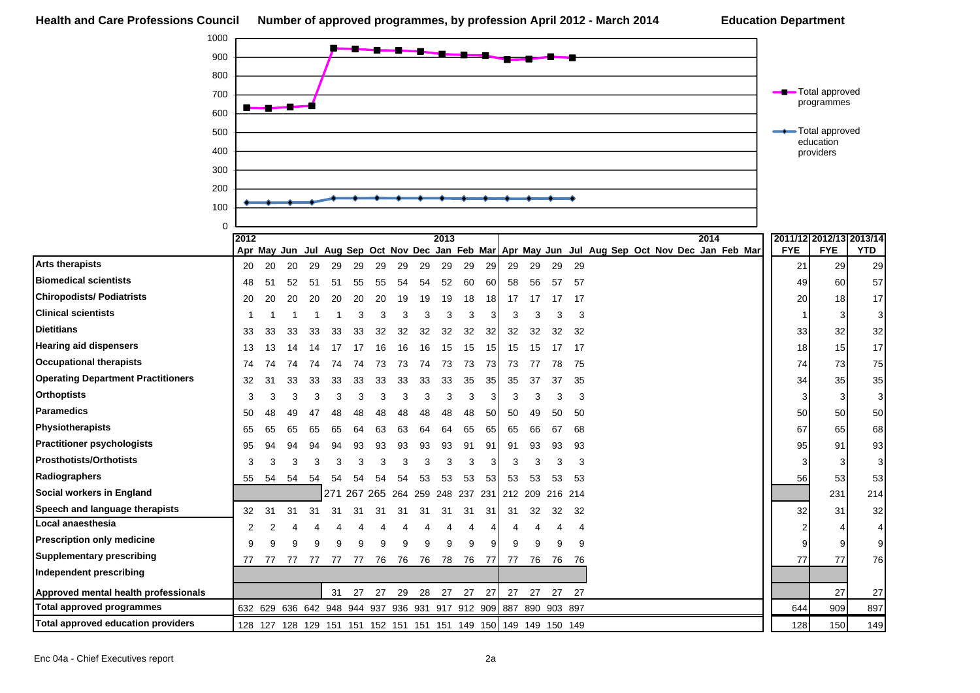| 1000                                      |                |    |    |    |     |                                                 |    |     |     |      |     |     |                                                                 |     |         |    |                                                                                                 |            |                                       |                           |
|-------------------------------------------|----------------|----|----|----|-----|-------------------------------------------------|----|-----|-----|------|-----|-----|-----------------------------------------------------------------|-----|---------|----|-------------------------------------------------------------------------------------------------|------------|---------------------------------------|---------------------------|
| 900                                       |                |    |    |    |     |                                                 |    |     |     |      |     |     |                                                                 |     |         |    |                                                                                                 |            |                                       |                           |
| 800                                       |                |    |    |    |     |                                                 |    |     |     |      |     |     |                                                                 |     |         |    |                                                                                                 |            |                                       |                           |
| 700                                       |                |    |    |    |     |                                                 |    |     |     |      |     |     |                                                                 |     |         |    |                                                                                                 |            | Total approved                        |                           |
| 600                                       | n.             |    |    |    |     |                                                 |    |     |     |      |     |     |                                                                 |     |         |    |                                                                                                 |            | programmes                            |                           |
| 500                                       |                |    |    |    |     |                                                 |    |     |     |      |     |     |                                                                 |     |         |    |                                                                                                 |            | -Total approved                       |                           |
|                                           |                |    |    |    |     |                                                 |    |     |     |      |     |     |                                                                 |     |         |    |                                                                                                 |            | education                             |                           |
| 400                                       |                |    |    |    |     |                                                 |    |     |     |      |     |     |                                                                 |     |         |    |                                                                                                 |            | providers                             |                           |
| 300                                       |                |    |    |    |     |                                                 |    |     |     |      |     |     |                                                                 |     |         |    |                                                                                                 |            |                                       |                           |
| 200                                       |                |    |    |    |     |                                                 |    |     |     |      |     |     |                                                                 |     |         |    |                                                                                                 |            |                                       |                           |
| 100                                       |                |    |    |    |     |                                                 |    |     |     |      |     |     |                                                                 |     |         |    |                                                                                                 |            |                                       |                           |
| $\mathbf 0$                               |                |    |    |    |     |                                                 |    |     |     |      |     |     |                                                                 |     |         |    |                                                                                                 |            |                                       |                           |
|                                           | 2012           |    |    |    |     |                                                 |    |     |     | 2013 |     |     |                                                                 |     |         |    | 2014                                                                                            | <b>FYE</b> | 2011/12 2012/13 2013/14<br><b>FYE</b> | <b>YTD</b>                |
| <b>Arts therapists</b>                    | 20             | 20 | 20 | 29 | 29  | 29                                              | 29 | 29  | 29  | 29   | 29  | 29  | 29                                                              | 29  | 29      | 29 | Apr May Jun Jul Aug Sep Oct Nov Dec Jan Feb Mar Apr May Jun Jul Aug Sep Oct Nov Dec Jan Feb Mar | 21         | 29                                    | 29                        |
| <b>Biomedical scientists</b>              | 48             | 51 | 52 | 51 | 51  | 55                                              | 55 | 54  | 54  | 52   | 60  | 60  | 58                                                              | 56  | 57      | 57 |                                                                                                 | 49         | 60                                    | 57                        |
| <b>Chiropodists/ Podiatrists</b>          | 20             | 20 | 20 | 20 | 20  | 20                                              | 20 | 19  | 19  | 19   | 18  | 18  | 17                                                              | 17  | 17      | 17 |                                                                                                 | 20         | 18                                    | 17                        |
| <b>Clinical scientists</b>                | -1             |    |    |    | -1  | 3                                               | 3  | 3   | 3   | 3    | 3   | 3   | 3                                                               | 3   | З       | 3  |                                                                                                 | -1         | 3                                     | 3                         |
| <b>Dietitians</b>                         | 33             | 33 | 33 | 33 | 33  | 33                                              | 32 | 32  | 32  | 32   | 32  | 32  | 32                                                              | 32  | 32      | 32 |                                                                                                 | 33         | 32                                    | 32                        |
| <b>Hearing aid dispensers</b>             | 13             | 13 | 14 | 14 | 17  | 17                                              | 16 | 16  | 16  | 15   | 15  | 15  | 15                                                              | 15  | 17      | 17 |                                                                                                 | 18         | 15                                    | 17                        |
| <b>Occupational therapists</b>            | 74             | 74 | 74 | 74 | 74  | 74                                              | 73 | 73  | 74  | 73   | 73  | 73  | 73                                                              | 77  | 78      | 75 |                                                                                                 | 74         | 73                                    | 75                        |
| <b>Operating Department Practitioners</b> | 32             | 31 | 33 | 33 | 33  | 33                                              | 33 | 33  | 33  | 33   | 35  | 35  | 35                                                              | 37  | 37      | 35 |                                                                                                 | 34         | 35                                    | 35                        |
| <b>Orthoptists</b>                        | 3              | 3  | 3  | 3  | 3   | 3                                               | 3  | 3   | 3   | 3    | 3   | 3   | 3                                                               | 3   | 3       | 3  |                                                                                                 | 3          | 3                                     | $\ensuremath{\mathsf{3}}$ |
| Paramedics                                | 50             | 48 | 49 | 47 | 48  | 48                                              | 48 | 48  | 48  | 48   | 48  | 50  | 50                                                              | 49  | 50      | 50 |                                                                                                 | 50         | 50                                    | 50                        |
| <b>Physiotherapists</b>                   | 65             | 65 | 65 | 65 | 65  | 64                                              | 63 | 63  | 64  | 64   | 65  | 65  | 65                                                              | 66  | 67      | 68 |                                                                                                 | 67         | 65                                    | 68                        |
| <b>Practitioner psychologists</b>         | 95             | 94 | 94 | 94 | 94  | 93                                              | 93 | 93  | 93  | 93   | 91  | 91  | 91                                                              | 93  | 93      | 93 |                                                                                                 | 95         | 91                                    | 93                        |
| <b>Prosthotists/Orthotists</b>            | 3              | 3  | 3  | 3  | 3   | 3                                               | 3  | 3   | 3   | 3    | 3   | 3   | 3                                                               | 3   | 3       | 3  |                                                                                                 | 3          | 3                                     | 3                         |
| Radiographers                             | 55             | 54 | 54 | 54 | 54  | 54                                              | 54 | 54  | 53  | 53   | 53  | 53  | 53                                                              | 53  | 53      | 53 |                                                                                                 | 56         | 53                                    | 53                        |
| Social workers in England                 |                |    |    |    | 271 | 267 265                                         |    | 264 | 259 | 248  | 237 | 231 | 212                                                             | 209 | 216 214 |    |                                                                                                 |            | 231                                   | 214                       |
| Speech and language therapists            | 32             | 31 | 31 | 31 | 31  | 31                                              | 31 | 31  | 31  | 31   | 31  | 31  | 31                                                              | 32  | 32      | 32 |                                                                                                 | 32         | 31                                    | 32                        |
| Local anaesthesia                         | $\overline{2}$ | 2  |    |    |     | 4                                               | 4  |     |     | Δ    | 4   | 4   | 4                                                               |     | 4       | 4  |                                                                                                 |            |                                       | 4                         |
| <b>Prescription only medicine</b>         | 9              | a  | 9  | 9  | 9   | 9                                               | 9  | 9   | 9   | 9    | 9   | 9   | 9                                                               | 9   | 9       | 9  |                                                                                                 |            | 9                                     | 9                         |
| <b>Supplementary prescribing</b>          | 77             | 77 | 77 | 77 | 77  | 77                                              | 76 | 76  | 76  | 78   | 76  | 77  | 77                                                              | 76  | 76      | 76 |                                                                                                 | 77         | 77                                    | 76                        |
| <b>Independent prescribing</b>            |                |    |    |    |     |                                                 |    |     |     |      |     |     |                                                                 |     |         |    |                                                                                                 |            |                                       |                           |
| Approved mental health professionals      |                |    |    |    | 31  | 27                                              | 27 | 29  | 28  | 27   | 27  | 27  | 27                                                              | 27  | 27      | 27 |                                                                                                 |            | 27                                    | 27                        |
| <b>Total approved programmes</b>          |                |    |    |    |     | 632 629 636 642 948 944 937 936 931 917 912 909 |    |     |     |      |     |     | 887 890 903 897                                                 |     |         |    |                                                                                                 | 644        | 909                                   | 897                       |
| <b>Total approved education providers</b> |                |    |    |    |     |                                                 |    |     |     |      |     |     | 128 127 128 129 151 151 152 151 151 151 149 150 149 149 150 149 |     |         |    |                                                                                                 | 128        | 150                                   | 149                       |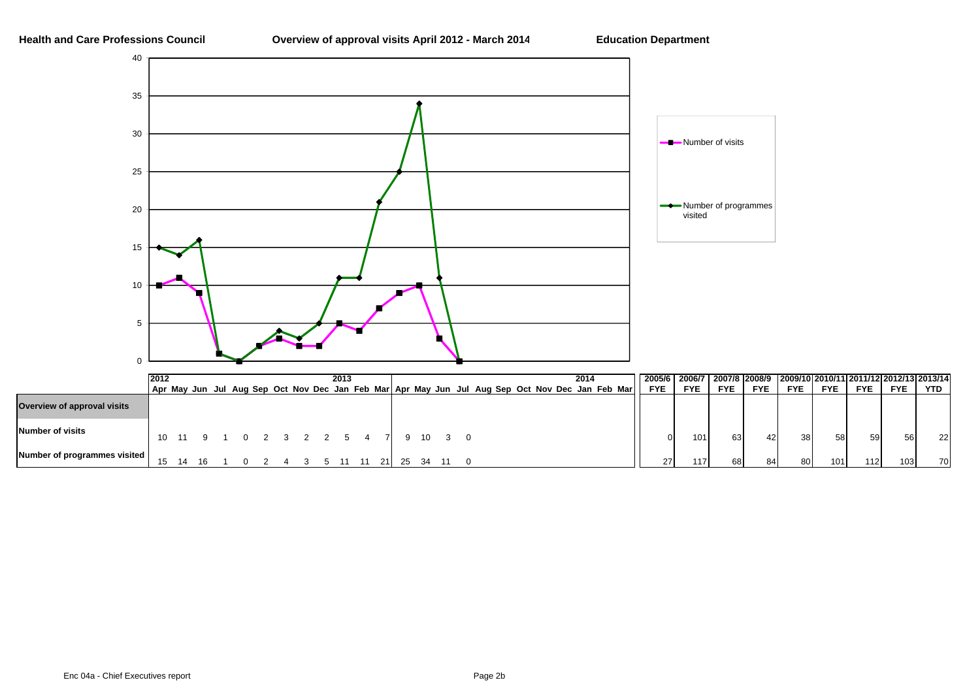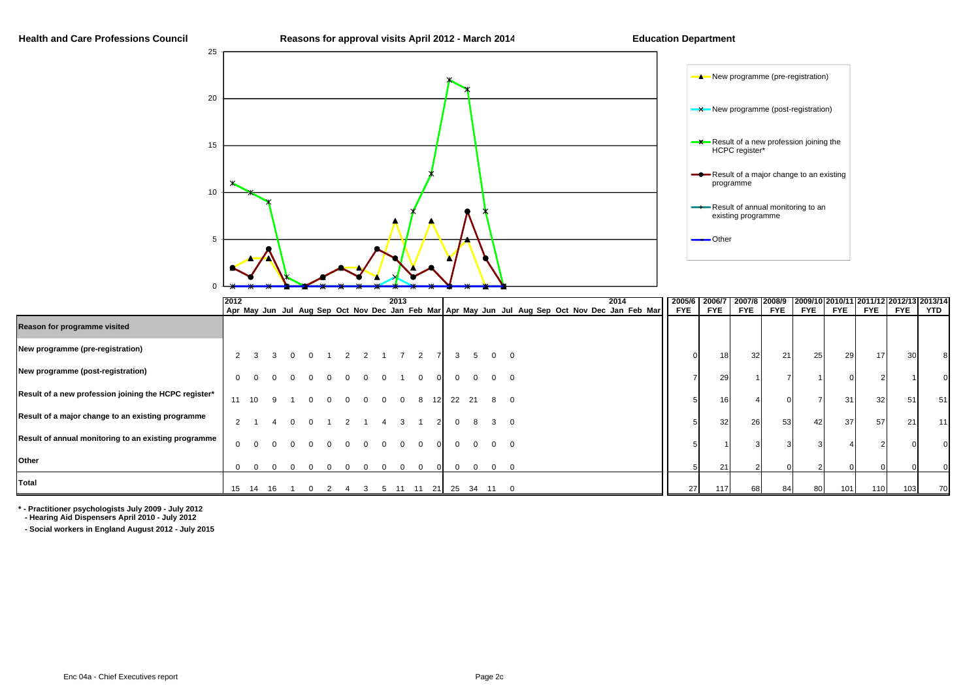#### **Health and Care Professions Council**



|                                                       | 2012        |               |    |  |   |   |          | 2013     |            |          |         |                |             |  |  | 2014 |                                                                                                 | 2005/6     | 2006/7          |            | 2007/8 2008/9 |            |            |            |            | 2009/10 2010/11 2011/12 2012/13 2013/14 |
|-------------------------------------------------------|-------------|---------------|----|--|---|---|----------|----------|------------|----------|---------|----------------|-------------|--|--|------|-------------------------------------------------------------------------------------------------|------------|-----------------|------------|---------------|------------|------------|------------|------------|-----------------------------------------|
|                                                       |             |               |    |  |   |   |          |          |            |          |         |                |             |  |  |      | Apr May Jun Jul Aug Sep Oct Nov Dec Jan Feb Mar Apr May Jun Jul Aug Sep Oct Nov Dec Jan Feb Mar | <b>FYE</b> | <b>FYE</b>      | <b>FYE</b> | <b>FYE</b>    | <b>FYE</b> | <b>FYE</b> | <b>FYE</b> | <b>FYE</b> | YTD                                     |
| Reason for programme visited                          |             |               |    |  |   |   |          |          |            |          |         |                |             |  |  |      |                                                                                                 |            |                 |            |               |            |            |            |            |                                         |
| New programme (pre-registration)                      |             | $\mathcal{R}$ |    |  | 2 |   | 2 1 7 2  |          |            | 3        |         | $0 \quad 0$    |             |  |  |      |                                                                                                 |            | 18 <sup>1</sup> | 32         | 21            | 25         | 29         | 17         | 30         |                                         |
| New programme (post-registration)                     |             |               |    |  |   |   | $\Omega$ |          | $\Omega$   | $\Omega$ |         |                |             |  |  |      |                                                                                                 |            | 29              |            |               |            |            |            |            |                                         |
| Result of a new profession joining the HCPC register* | 11          | 10            |    |  |   |   | $\Omega$ | $\Omega$ | 8<br>12    |          | 22 21   | 8 <sup>1</sup> |             |  |  |      |                                                                                                 |            | 16              |            |               |            | 31         | 32         | 51         | 51                                      |
| Result of a major change to an existing programme     |             |               |    |  |   |   | 4        |          |            | $\Omega$ | 8       |                | $3 \quad 0$ |  |  |      |                                                                                                 |            | 32              | 26         | 53            | 42         | 37         | 57         | 21         | 11                                      |
| Result of annual monitoring to an existing programme  | $\mathbf 0$ | $\Omega$      |    |  |   |   |          |          | $\Omega$   | $\Omega$ |         | $\Omega$       | $\Omega$    |  |  |      |                                                                                                 |            |                 |            |               |            |            |            |            |                                         |
| Other                                                 |             |               |    |  |   |   |          |          |            |          |         |                |             |  |  |      |                                                                                                 |            | 21              |            |               |            |            |            |            |                                         |
| <b>Total</b>                                          | 15          | -14           | 16 |  | 4 | 3 | 5 11     |          | 21 l<br>11 | 25       | 34 11 0 |                |             |  |  |      |                                                                                                 | 27         | 117             | 68         | 84            | 80         | 101        | 110        | 103        | 70                                      |

**\* - Practitioner psychologists July 2009 - July 2012**

 **- Hearing Aid Dispensers April 2010 - July 2012**

 **- Social workers in England August 2012 - July 2015**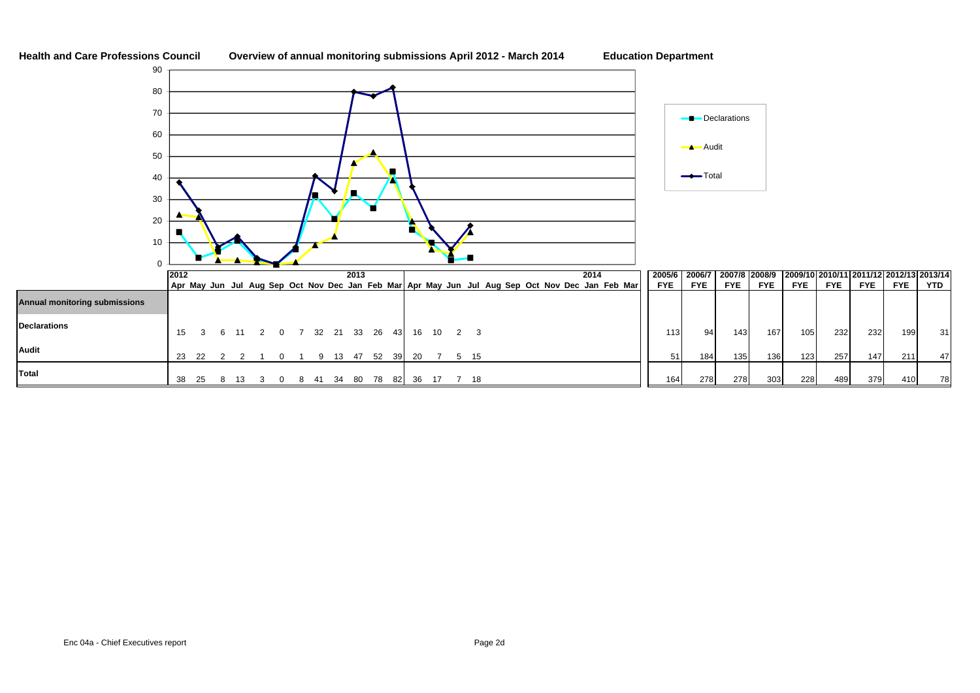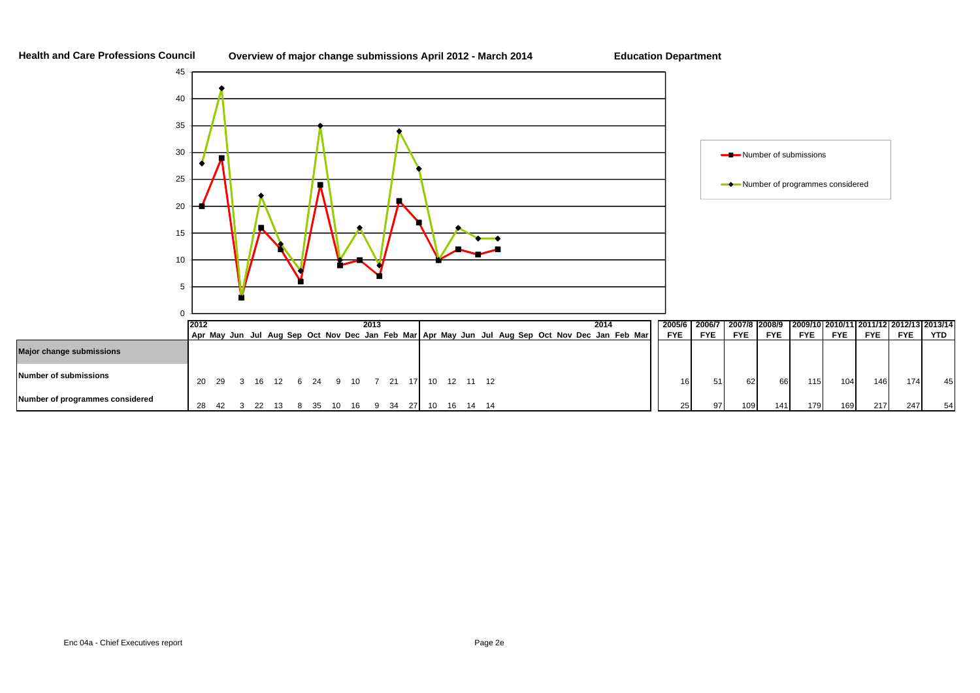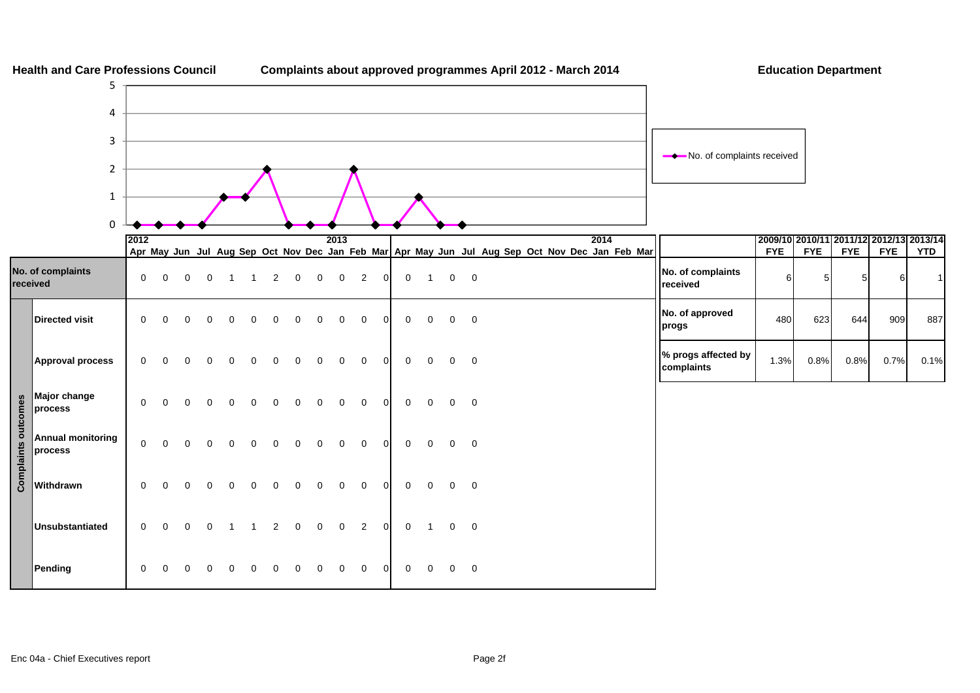

**Health and Care Professions Council Complaints about approved programmes April 2012 - March 2014 Education Department**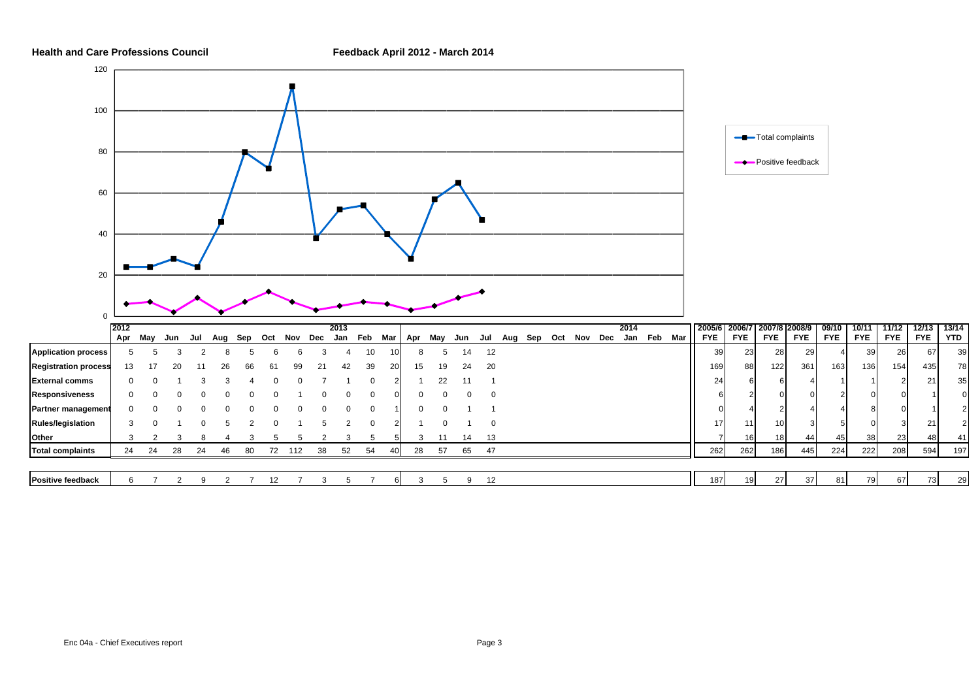

13/14<br>YTD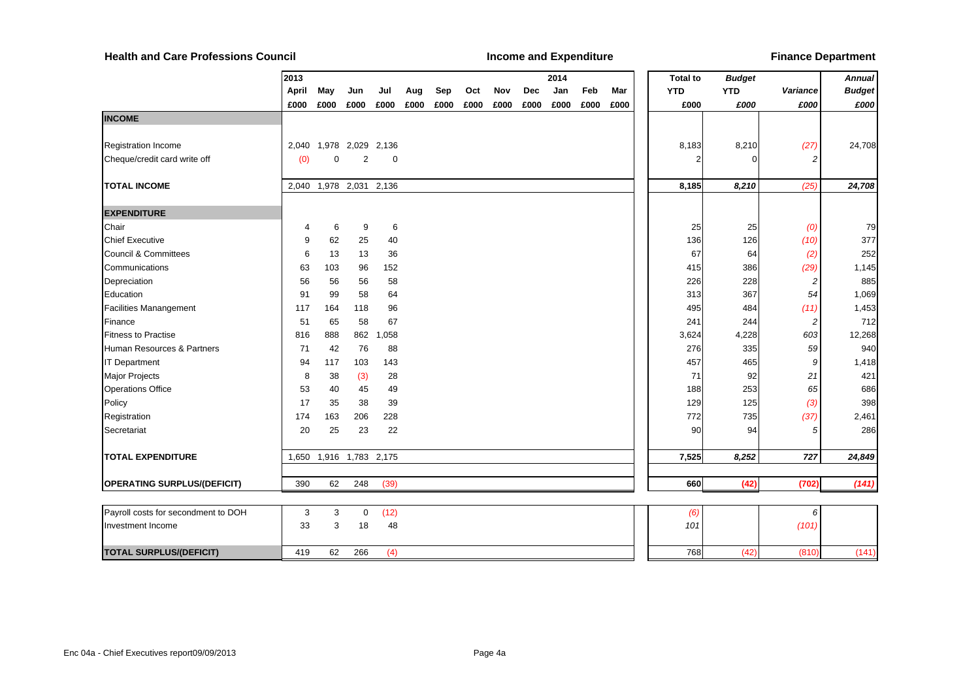**Health and Care Professions Council**

**Income and Expenditure** *Alleensing metals are and Expenditure Finance Department* 

|                                     | 2013  |             |                   |       |      |      |      |      |      | 2014 |      |      | <b>Total to</b> | <b>Budget</b> |                | <b>Annual</b> |
|-------------------------------------|-------|-------------|-------------------|-------|------|------|------|------|------|------|------|------|-----------------|---------------|----------------|---------------|
|                                     | April | May         | Jun               | Jul   | Aug  | Sep  | Oct  | Nov  | Dec  | Jan  | Feb  | Mar  | <b>YTD</b>      | <b>YTD</b>    | Variance       | <b>Budget</b> |
|                                     | £000  | £000        | £000              | £000  | £000 | £000 | £000 | £000 | £000 | £000 | £000 | £000 | £000            | £000          | £000           | £000          |
| <b>INCOME</b>                       |       |             |                   |       |      |      |      |      |      |      |      |      |                 |               |                |               |
|                                     |       |             |                   |       |      |      |      |      |      |      |      |      |                 |               |                |               |
| <b>Registration Income</b>          | 2,040 |             | 1,978 2,029 2,136 |       |      |      |      |      |      |      |      |      | 8,183           | 8,210         | (27)           | 24,708        |
| Cheque/credit card write off        | (0)   | $\mathbf 0$ | 2                 | 0     |      |      |      |      |      |      |      |      |                 |               | 2              |               |
|                                     |       |             |                   |       |      |      |      |      |      |      |      |      |                 |               |                |               |
| <b>TOTAL INCOME</b>                 | 2,040 |             | 1,978 2,031       | 2,136 |      |      |      |      |      |      |      |      | 8,185           | 8,210         | (25)           | 24,708        |
|                                     |       |             |                   |       |      |      |      |      |      |      |      |      |                 |               |                |               |
| <b>EXPENDITURE</b>                  |       |             |                   |       |      |      |      |      |      |      |      |      |                 |               |                |               |
| Chair                               | 4     | 6           | 9                 | 6     |      |      |      |      |      |      |      |      | 25              | 25            | (0)            | 79            |
| <b>Chief Executive</b>              | 9     | 62          | 25                | 40    |      |      |      |      |      |      |      |      | 136             | 126           | (10)           | 377           |
| <b>Council &amp; Committees</b>     | 6     | 13          | 13                | 36    |      |      |      |      |      |      |      |      | 67              | 64            | (2)            | 252           |
| Communications                      | 63    | 103         | 96                | 152   |      |      |      |      |      |      |      |      | 415             | 386           | (29)           | 1,145         |
| Depreciation                        | 56    | 56          | 56                | 58    |      |      |      |      |      |      |      |      | 226             | 228           | 2              | 885           |
| Education                           | 91    | 99          | 58                | 64    |      |      |      |      |      |      |      |      | 313             | 367           | 54             | 1,069         |
| <b>Facilities Manangement</b>       | 117   | 164         | 118               | 96    |      |      |      |      |      |      |      |      | 495             | 484           | (11)           | 1,453         |
| Finance                             | 51    | 65          | 58                | 67    |      |      |      |      |      |      |      |      | 241             | 244           | $\overline{c}$ | 712           |
| <b>Fitness to Practise</b>          | 816   | 888         | 862               | 1,058 |      |      |      |      |      |      |      |      | 3,624           | 4,228         | 603            | 12,268        |
| Human Resources & Partners          | 71    | 42          | 76                | 88    |      |      |      |      |      |      |      |      | 276             | 335           | 59             | 940           |
| <b>IT Department</b>                | 94    | 117         | 103               | 143   |      |      |      |      |      |      |      |      | 457             | 465           | 9              | 1,418         |
| Major Projects                      | 8     | 38          | (3)               | 28    |      |      |      |      |      |      |      |      | 71              | 92            | 21             | 421           |
| <b>Operations Office</b>            | 53    | 40          | 45                | 49    |      |      |      |      |      |      |      |      | 188             | 253           | 65             | 686           |
| Policy                              | 17    | 35          | 38                | 39    |      |      |      |      |      |      |      |      | 129             | 125           | (3)            | 398           |
| Registration                        | 174   | 163         | 206               | 228   |      |      |      |      |      |      |      |      | 772             | 735           | (37)           | 2,461         |
| Secretariat                         | 20    | 25          | 23                | 22    |      |      |      |      |      |      |      |      | 90              | 94            | 5              | 286           |
| <b>TOTAL EXPENDITURE</b>            |       |             |                   |       |      |      |      |      |      |      |      |      |                 | 8,252         | 727            |               |
|                                     | 1,650 |             | 1,916 1,783 2,175 |       |      |      |      |      |      |      |      |      | 7,525           |               |                | 24,849        |
| <b>OPERATING SURPLUS/(DEFICIT)</b>  | 390   | 62          | 248               | (39)  |      |      |      |      |      |      |      |      | 660             | (42)          | (702)          | (141)         |
|                                     |       |             |                   |       |      |      |      |      |      |      |      |      |                 |               |                |               |
| Payroll costs for secondment to DOH | 3     | 3           | $\mathbf 0$       | (12)  |      |      |      |      |      |      |      |      | (6)             |               | 6              |               |
| Investment Income                   | 33    | 3           | 18                | 48    |      |      |      |      |      |      |      |      | 101             |               | (101)          |               |
|                                     |       |             |                   |       |      |      |      |      |      |      |      |      |                 |               |                |               |
| <b>TOTAL SURPLUS/(DEFICIT)</b>      | 419   | 62          | 266               | (4)   |      |      |      |      |      |      |      |      | 768             | (42)          | (810)          | (141)         |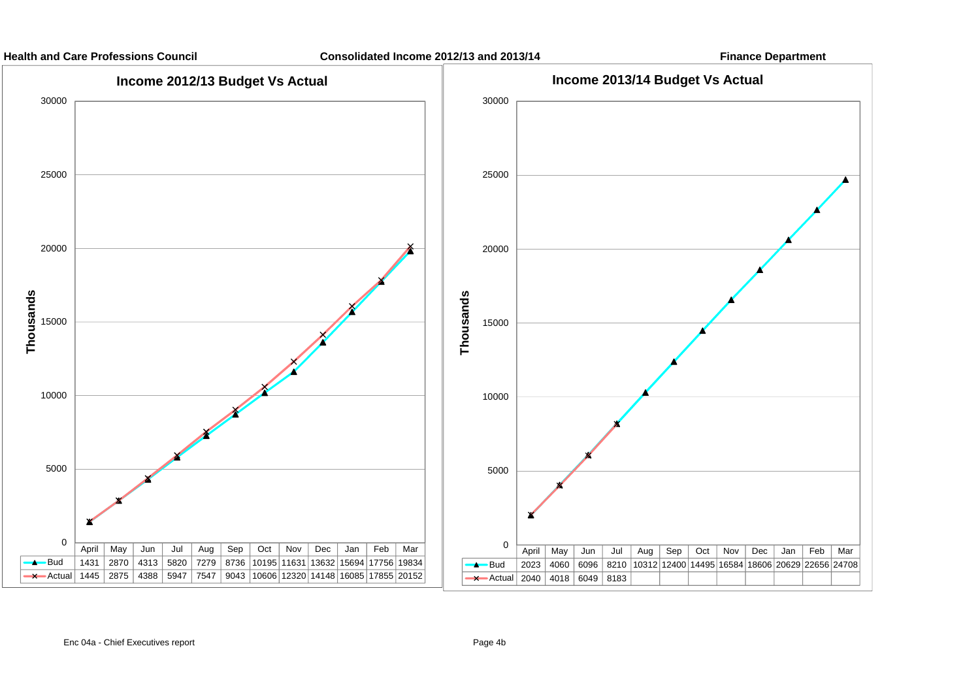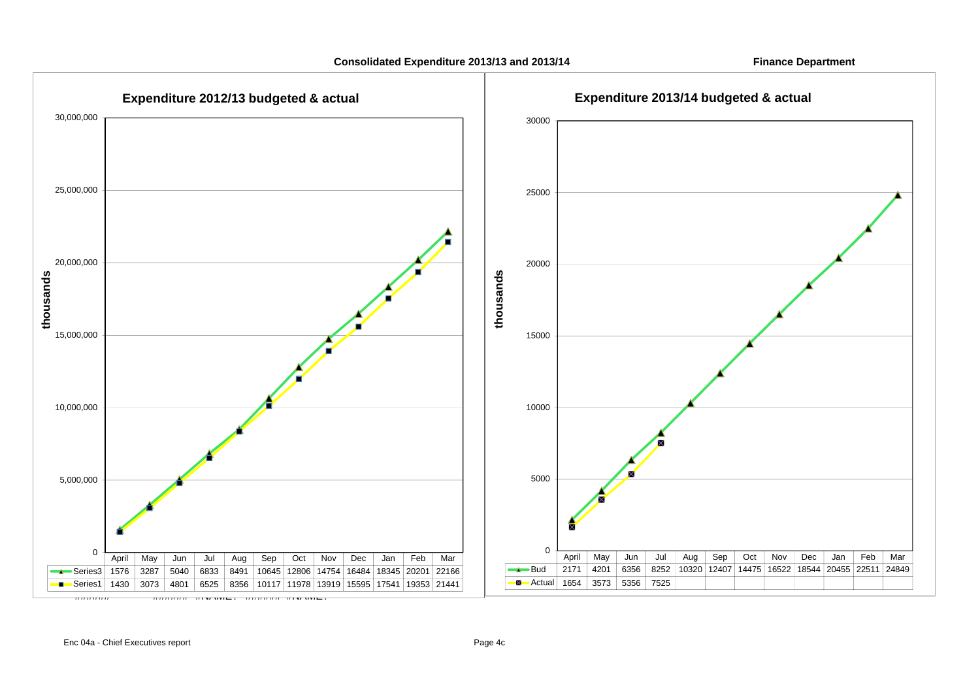**Consolidated Expenditure 2013/13 and 2013/14 Finance Department**

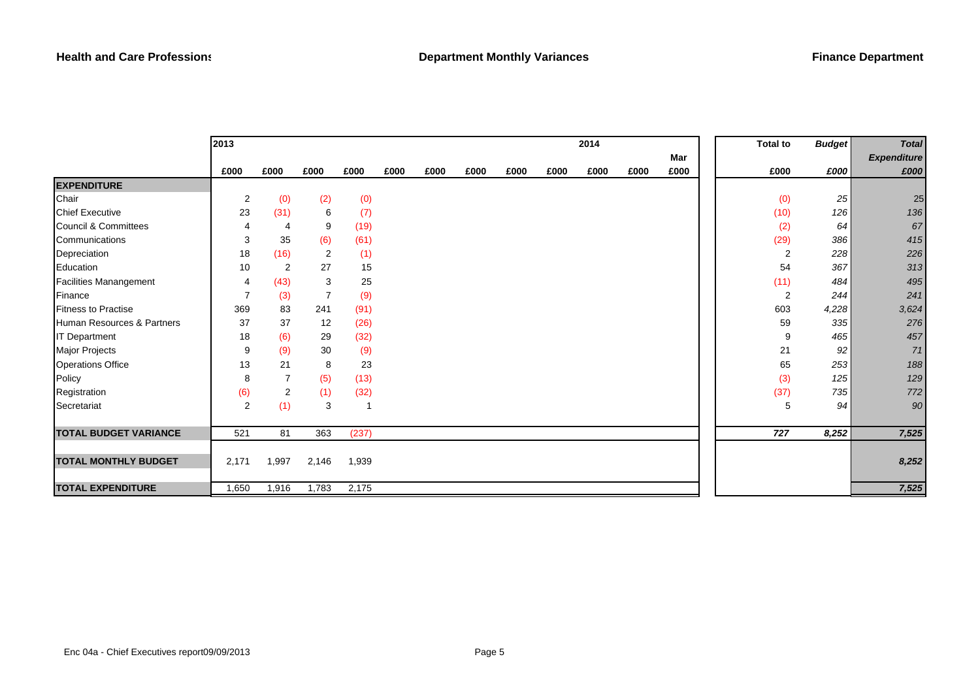|                                 | 2013           |                |       |       |      |      |      |      |      | 2014 |      |      | <b>Total to</b> | <b>Budget</b> | <b>Total</b>       |
|---------------------------------|----------------|----------------|-------|-------|------|------|------|------|------|------|------|------|-----------------|---------------|--------------------|
|                                 |                |                |       |       |      |      |      |      |      |      |      | Mar  |                 |               | <b>Expenditure</b> |
|                                 | £000           | £000           | £000  | £000  | £000 | £000 | £000 | £000 | £000 | £000 | £000 | £000 | £000            | £000          | £000               |
| <b>EXPENDITURE</b>              |                |                |       |       |      |      |      |      |      |      |      |      |                 |               |                    |
| Chair                           | $\overline{c}$ | (0)            | (2)   | (0)   |      |      |      |      |      |      |      |      | (0)             | 25            | 25                 |
| <b>Chief Executive</b>          | 23             | (31)           | 6     | (7)   |      |      |      |      |      |      |      |      | (10)            | 126           | 136                |
| <b>Council &amp; Committees</b> | 4              | 4              | 9     | (19)  |      |      |      |      |      |      |      |      | (2)             | 64            | 67                 |
| Communications                  | 3              | 35             | (6)   | (61)  |      |      |      |      |      |      |      |      | (29)            | 386           | 415                |
| Depreciation                    | 18             | (16)           | 2     | (1)   |      |      |      |      |      |      |      |      | $\overline{2}$  | 228           | 226                |
| Education                       | 10             | $\overline{c}$ | 27    | 15    |      |      |      |      |      |      |      |      | 54              | 367           | 313                |
| <b>Facilities Manangement</b>   | 4              | (43)           | 3     | 25    |      |      |      |      |      |      |      |      | (11)            | 484           | 495                |
| Finance                         | $\overline{7}$ | (3)            | 7     | (9)   |      |      |      |      |      |      |      |      | $\overline{2}$  | 244           | 241                |
| <b>Fitness to Practise</b>      | 369            | 83             | 241   | (91)  |      |      |      |      |      |      |      |      | 603             | 4,228         | 3,624              |
| Human Resources & Partners      | 37             | 37             | 12    | (26)  |      |      |      |      |      |      |      |      | 59              | 335           | 276                |
| <b>IT Department</b>            | 18             | (6)            | 29    | (32)  |      |      |      |      |      |      |      |      | 9               | 465           | 457                |
| Major Projects                  | 9              | (9)            | 30    | (9)   |      |      |      |      |      |      |      |      | 21              | 92            | 71                 |
| <b>Operations Office</b>        | 13             | 21             | 8     | 23    |      |      |      |      |      |      |      |      | 65              | 253           | 188                |
| Policy                          | 8              | $\overline{7}$ | (5)   | (13)  |      |      |      |      |      |      |      |      | (3)             | 125           | 129                |
| Registration                    | (6)            | $\overline{c}$ | (1)   | (32)  |      |      |      |      |      |      |      |      | (37)            | 735           | 772                |
| Secretariat                     | $\overline{2}$ | (1)            | 3     | -1    |      |      |      |      |      |      |      |      | 5               | 94            | 90                 |
|                                 |                |                |       |       |      |      |      |      |      |      |      |      |                 |               |                    |
| <b>TOTAL BUDGET VARIANCE</b>    | 521            | 81             | 363   | (237) |      |      |      |      |      |      |      |      | 727             | 8,252         | 7,525              |
|                                 |                |                |       |       |      |      |      |      |      |      |      |      |                 |               |                    |
| <b>TOTAL MONTHLY BUDGET</b>     | 2,171          | 1,997          | 2,146 | 1,939 |      |      |      |      |      |      |      |      |                 |               | 8,252              |
|                                 |                |                |       |       |      |      |      |      |      |      |      |      |                 |               |                    |
| <b>TOTAL EXPENDITURE</b>        | 1,650          | 1,916          | 1,783 | 2,175 |      |      |      |      |      |      |      |      |                 |               | 7,525              |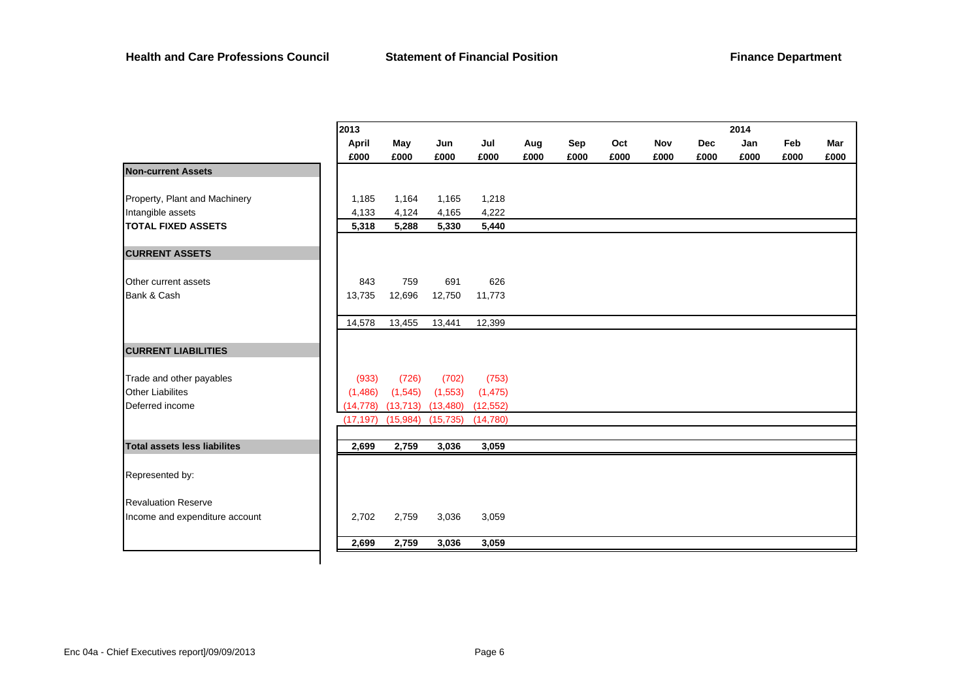|                                     | 2013         |           |           |           |      |      |      |            |            | 2014 |      |      |
|-------------------------------------|--------------|-----------|-----------|-----------|------|------|------|------------|------------|------|------|------|
|                                     | <b>April</b> | May       | Jun       | Jul       | Aug  | Sep  | Oct  | <b>Nov</b> | <b>Dec</b> | Jan  | Feb  |      |
|                                     | £000         | £000      | £000      | £000      | £000 | £000 | £000 | £000       | £000       | £000 | £000 | £000 |
| <b>Non-current Assets</b>           |              |           |           |           |      |      |      |            |            |      |      |      |
| Property, Plant and Machinery       | 1,185        | 1,164     | 1,165     | 1,218     |      |      |      |            |            |      |      |      |
|                                     |              |           |           |           |      |      |      |            |            |      |      |      |
| Intangible assets                   | 4,133        | 4,124     | 4,165     | 4,222     |      |      |      |            |            |      |      |      |
| <b>TOTAL FIXED ASSETS</b>           | 5,318        | 5,288     | 5,330     | 5,440     |      |      |      |            |            |      |      |      |
| <b>CURRENT ASSETS</b>               |              |           |           |           |      |      |      |            |            |      |      |      |
| Other current assets                | 843          | 759       | 691       | 626       |      |      |      |            |            |      |      |      |
| Bank & Cash                         | 13,735       | 12,696    | 12,750    | 11,773    |      |      |      |            |            |      |      |      |
|                                     |              |           |           |           |      |      |      |            |            |      |      |      |
|                                     | 14,578       | 13,455    | 13,441    | 12,399    |      |      |      |            |            |      |      |      |
| <b>CURRENT LIABILITIES</b>          |              |           |           |           |      |      |      |            |            |      |      |      |
| Trade and other payables            | (933)        | (726)     | (702)     | (753)     |      |      |      |            |            |      |      |      |
| <b>Other Liabilites</b>             | (1, 486)     | (1, 545)  | (1, 553)  | (1, 475)  |      |      |      |            |            |      |      |      |
| Deferred income                     | (14, 778)    | (13, 713) | (13, 480) | (12, 552) |      |      |      |            |            |      |      |      |
|                                     | (17, 197)    | (15,984)  | (15, 735) | (14, 780) |      |      |      |            |            |      |      |      |
| <b>Total assets less liabilites</b> | 2,699        | 2,759     | 3,036     | 3,059     |      |      |      |            |            |      |      |      |
|                                     |              |           |           |           |      |      |      |            |            |      |      |      |
| Represented by:                     |              |           |           |           |      |      |      |            |            |      |      |      |
| <b>Revaluation Reserve</b>          |              |           |           |           |      |      |      |            |            |      |      |      |
| Income and expenditure account      | 2,702        | 2,759     | 3,036     | 3,059     |      |      |      |            |            |      |      |      |
|                                     | 2,699        | 2,759     | 3,036     | 3,059     |      |      |      |            |            |      |      |      |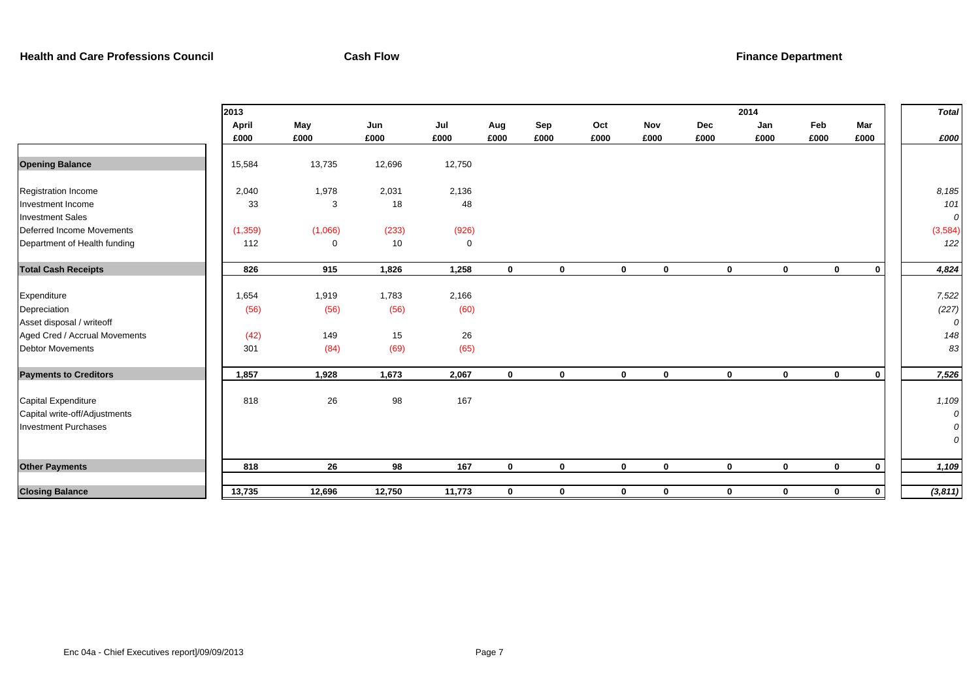|                                              | 2013     |             |        |             |              |             |              |             |             | 2014         |              |             | <b>Total</b> |
|----------------------------------------------|----------|-------------|--------|-------------|--------------|-------------|--------------|-------------|-------------|--------------|--------------|-------------|--------------|
|                                              | April    | May         | Jun    | Jul         | Aug          | Sep         | Oct          | Nov         | Dec         | Jan          | Feb          | Mar         |              |
|                                              | £000     | £000        | £000   | £000        | £000         | £000        | £000         | £000        | £000        | £000         | £000         | £000        | £000         |
| <b>Opening Balance</b>                       | 15,584   | 13,735      | 12,696 | 12,750      |              |             |              |             |             |              |              |             |              |
| Registration Income                          | 2,040    | 1,978       | 2,031  | 2,136       |              |             |              |             |             |              |              |             | 8,185        |
| Investment Income<br><b>Investment Sales</b> | 33       | 3           | 18     | 48          |              |             |              |             |             |              |              |             | 101<br>0     |
| Deferred Income Movements                    | (1, 359) | (1,066)     | (233)  | (926)       |              |             |              |             |             |              |              |             | (3, 584)     |
| Department of Health funding                 | 112      | $\mathbf 0$ | 10     | $\mathbf 0$ |              |             |              |             |             |              |              |             | 122          |
| <b>Total Cash Receipts</b>                   | 826      | 915         | 1,826  | 1,258       | $\mathbf{0}$ | $\mathbf 0$ | $\bf{0}$     | $\mathbf 0$ | $\mathbf 0$ | $\mathbf{0}$ | $\bf{0}$     | $\mathbf 0$ | 4,824        |
| Expenditure                                  | 1,654    | 1,919       | 1,783  | 2,166       |              |             |              |             |             |              |              |             | 7,522        |
| Depreciation<br>Asset disposal / writeoff    | (56)     | (56)        | (56)   | (60)        |              |             |              |             |             |              |              |             | (227)<br>0   |
| Aged Cred / Accrual Movements                | (42)     | 149         | 15     | 26          |              |             |              |             |             |              |              |             | 148          |
| <b>Debtor Movements</b>                      | 301      | (84)        | (69)   | (65)        |              |             |              |             |             |              |              |             | 83           |
| <b>Payments to Creditors</b>                 | 1,857    | 1,928       | 1,673  | 2,067       | $\mathbf{0}$ | $\mathbf 0$ | $\mathbf{0}$ | $\mathbf 0$ | $\mathbf 0$ | $\mathbf{0}$ | $\mathbf{0}$ | $\mathbf 0$ | 7,526        |
| Capital Expenditure                          | 818      | 26          | 98     | 167         |              |             |              |             |             |              |              |             | 1,109        |
| Capital write-off/Adjustments                |          |             |        |             |              |             |              |             |             |              |              |             | 0            |
| <b>Investment Purchases</b>                  |          |             |        |             |              |             |              |             |             |              |              |             | 0<br>0       |
| <b>Other Payments</b>                        | 818      | 26          | 98     | 167         | $\mathbf 0$  | $\mathbf 0$ | $\mathbf 0$  | $\bf{0}$    | $\mathbf 0$ | $\mathbf 0$  | $\mathbf 0$  | $\mathbf 0$ | 1,109        |
| <b>Closing Balance</b>                       | 13,735   | 12,696      | 12,750 | 11,773      | $\mathbf 0$  | $\bf{0}$    | 0            | 0           | $\mathbf 0$ | $\mathbf 0$  | $\mathbf 0$  | $\bf{0}$    | (3,811)      |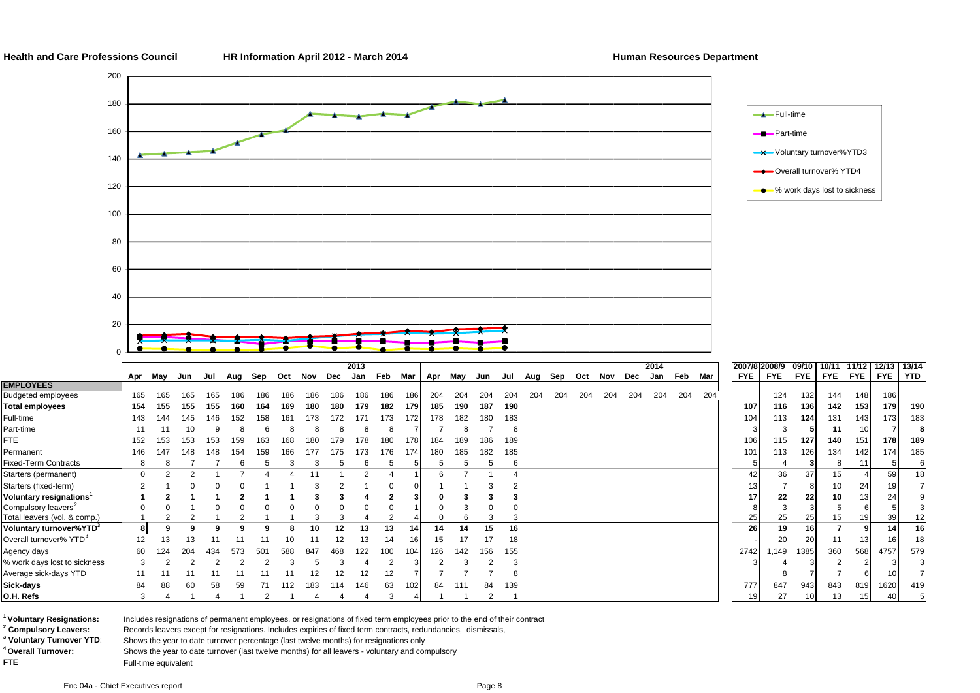**Health and Care Professions Council HR Information April 2012 - March 2014 Human Resources Department**

185

18



<sup>1</sup> Voluntary Resignations:

**O.H. Refs**

**EMPLOYEES**

<sup>4</sup> Overall Turnover:

**2 Compulsory Leavers:** Records leavers except for resignations. Includes expiries of fixed term contracts, redundancies, dismissals,

**Voluntary Resignations:** Includes resignations of permanent employees, or resignations of fixed term employees prior to the end of their contract

**3 Voluntary Turnover YTD**: Shows the year to date turnover percentage (last twelve months) for resignations only

% work days lost to sickness | 3 2 2 2 2 2 3 5 3 4 2 3 2 3 2 3

Shows the year to date turnover (last twelve months) for all leavers - voluntary and compulsory

**FTE** FUIL-time equivalent

Agency days 60 124 204 434 573 501 588 847 468 122 100 104 126 142 156 155 2742 1,149 1385 360 568 4757 579

Average sick-days YTD 11 11 11 11 11 11 11 12 12 12 12 77778 8 7 7 6 10 7 **Sick-days | 8**4 88 60 58 59 71 112 183 114 146 63 102 84 111 84 139 847 943 843 819 1620 419

3 4 1 4 1 2 1 4 4 4 3 4 1 1 2 1 19 27 10 13 15 40 5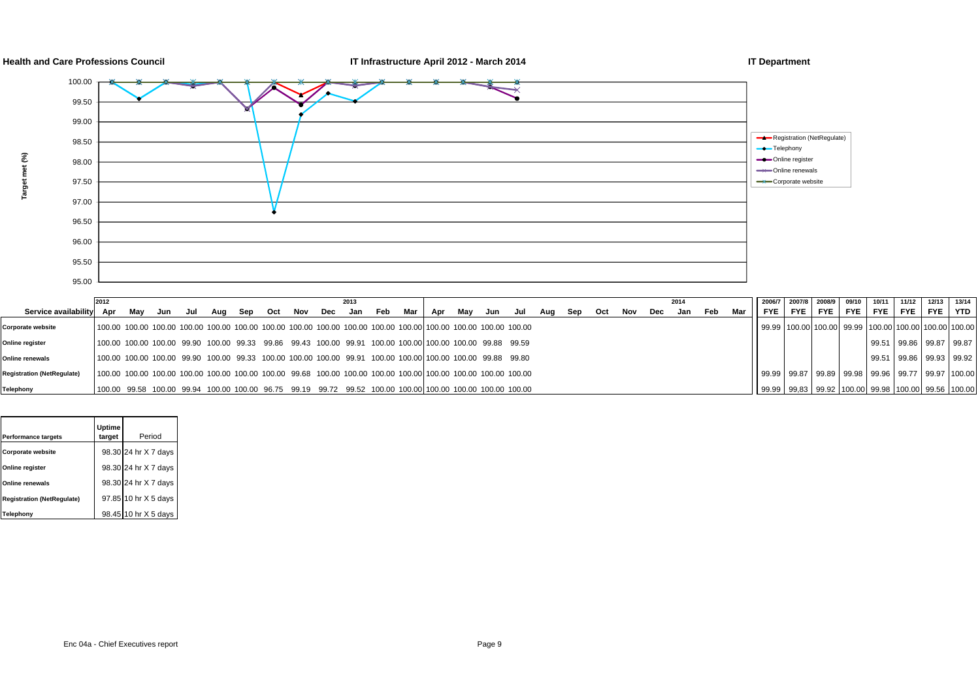

**Target met (%)**

Target met (%)



|                                   | 2012                                                                                                                                                                                                                           |     |     |     |     |     |     |     | 2013    |     |       |     |     |     |     |     |     |     |     |     | 2014 |     |     |                                                                  |       | 2007/8 2008/9 | 09/10 10/11 |            | 11/12 | 12/13 13/14                                           |  |
|-----------------------------------|--------------------------------------------------------------------------------------------------------------------------------------------------------------------------------------------------------------------------------|-----|-----|-----|-----|-----|-----|-----|---------|-----|-------|-----|-----|-----|-----|-----|-----|-----|-----|-----|------|-----|-----|------------------------------------------------------------------|-------|---------------|-------------|------------|-------|-------------------------------------------------------|--|
| Service availability Apr          |                                                                                                                                                                                                                                | Mav | Jun | Jul | Aug | Sep | Oct | Nov | Dec Jan | Feb | Mar l | Apr | Mav | Jun | Jul | Aua | Sep | Oct | Nov | Dec | Jan  | Feb | Mar | FYE.                                                             | FYE I | FYE I         |             | IFYE FYE I | FYE   | FYE I YTD                                             |  |
| Corporate website                 | 100.00 100.00 100.00 100.00 100.00 100.00 100.00 100.00 100.00 100.00 100.00 100.00 100.00 100.00 100.00 100.00                                                                                                                |     |     |     |     |     |     |     |         |     |       |     |     |     |     |     |     |     |     |     |      |     |     |                                                                  |       |               |             |            |       | 99.99 100.00 100.00 99.99 100.00 100.00 100.00 100.00 |  |
| Online register                   | 100.00 100.00 100.00 99.90 100.00 99.33 99.86 99.43 100.00 99.91 100.00 100.001100.00 100.00 99.88 99.59                                                                                                                       |     |     |     |     |     |     |     |         |     |       |     |     |     |     |     |     |     |     |     |      |     |     |                                                                  |       |               |             |            |       | 99.51 99.86 99.87 99.87                               |  |
| Online renewals                   | 100.00 100.00 100.00 99.90 100.00 99.33 100.00 100.00 100.00 99.91 100.00 100.001100.00 100.00 99.88 99.80                                                                                                                     |     |     |     |     |     |     |     |         |     |       |     |     |     |     |     |     |     |     |     |      |     |     |                                                                  |       |               |             |            |       | 99.51 99.86 99.93 99.92                               |  |
| <b>Registration (NetRegulate)</b> | 100.00 100.00 100.00 100.00 100.00 100.00 100.00 99.68 100.00 100.00 100.00 100.00 100.00 100.00 100.00 100.00                                                                                                                 |     |     |     |     |     |     |     |         |     |       |     |     |     |     |     |     |     |     |     |      |     |     | 99.99   99.87   99.89   99.98   99.96   99.77   99.97   100.00   |       |               |             |            |       |                                                       |  |
| Telephony                         | t00.00 99.58 100.00 99.94 100.00 100.00 96.75 99.19 99.72 99.52 100.00 100.00 100.00 100.00 100.00 100.00 100.00 1 00.00 1 00.00 1 00.00 1 00.00 1 00.00 1 00.00 1 00.00 1 00.00 1 00.00 1 00.00 1 00.00 1 00.00 1 00.00 1 00. |     |     |     |     |     |     |     |         |     |       |     |     |     |     |     |     |     |     |     |      |     |     | 99.99   99.83   99.92   100.00   99.98   100.00   99.56   100.00 |       |               |             |            |       |                                                       |  |

|                                   | Uptime |                      |
|-----------------------------------|--------|----------------------|
| Performance targets               | target | Period               |
| <b>Corporate website</b>          |        | 98.30 24 hr X 7 days |
| Online register                   |        | 98.30 24 hr X 7 days |
| Online renewals                   |        | 98.30 24 hr X 7 days |
| <b>Registration (NetRegulate)</b> |        | 97.85 10 hr X 5 days |
| Telephony                         |        | 98.45 10 hr X 5 days |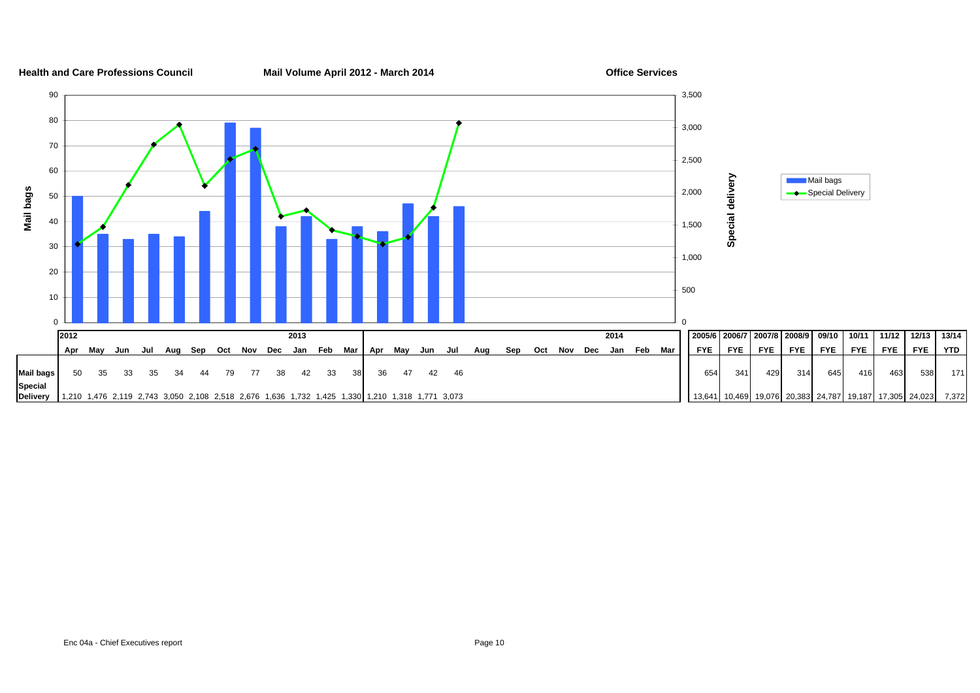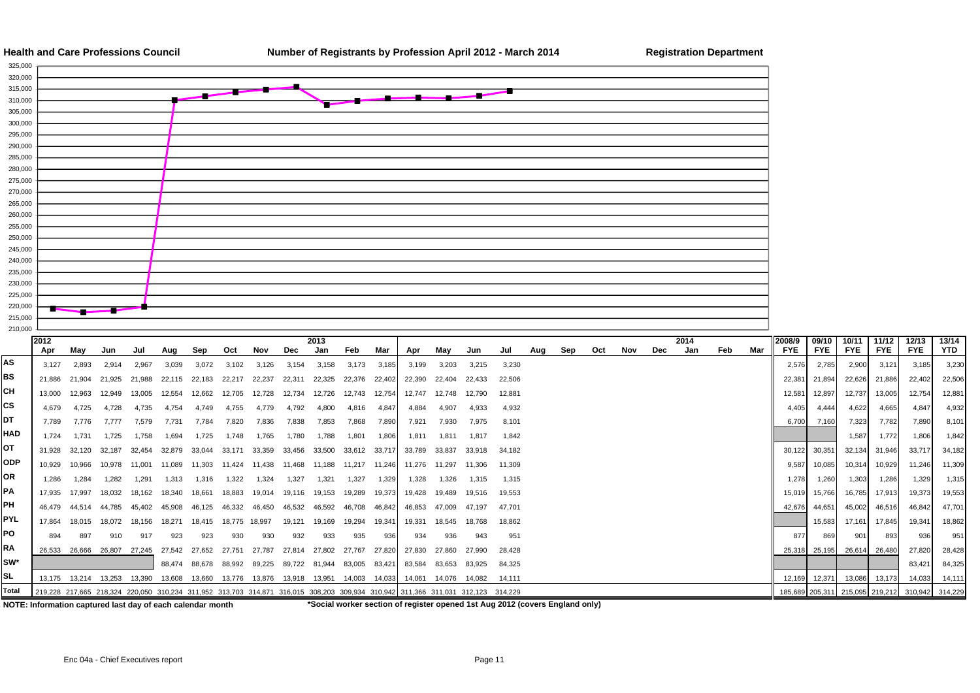



|            | 2012                                                                                                                            |        |                      |        |        |                      |               |                                                                                                |                      | 2013          |        |        |                        |               |        |        |     |     |     |     |     | 2014 |     |     | 2008/9     | 09/10         | 10/11                       | 11/12      | 12/13                                           | 13/14  |
|------------|---------------------------------------------------------------------------------------------------------------------------------|--------|----------------------|--------|--------|----------------------|---------------|------------------------------------------------------------------------------------------------|----------------------|---------------|--------|--------|------------------------|---------------|--------|--------|-----|-----|-----|-----|-----|------|-----|-----|------------|---------------|-----------------------------|------------|-------------------------------------------------|--------|
|            | Apr                                                                                                                             | Mav    | Jun                  | Jul    | Aua    | Sep                  | Oct           | Nov                                                                                            | Dec                  | Jan           | Feb    | Mar    | Apr                    | Mav           | Jun    | Jul    | Aua | Sep | Oct | Nov | Dec | Jan  | Feb | Mar | <b>FYE</b> | <b>FYE</b>    | <b>FYE</b>                  | <b>FYE</b> | <b>FYE</b>                                      | YTD    |
| AS         | 3.127                                                                                                                           | 2.893  | 2.914                | 2.967  | 3.039  | 3.072                | 3.102         | 3.126                                                                                          | 3.154                | 3.158         | 3.173  | 3,185  | 3.199                  | 3.203         | 3.215  | 3,230  |     |     |     |     |     |      |     |     | 2.576      | 2.785         | 2,900                       | 3,121      | 3,185                                           | 3,230  |
| BS         | 21.886                                                                                                                          | 21.904 | 21.925               | 21.988 | 22.115 | 22.183               | 22,217        | 22,237                                                                                         | 22,311               | 22,325        | 22,376 | 22,402 | 22,390                 | 22.404        | 22.433 | 22.506 |     |     |     |     |     |      |     |     | 22,381     | 21,894        | 22,626                      | 21,886     | 22,402                                          | 22,506 |
| CН         | 13.000                                                                                                                          | 12.963 | 12.949               | 13.005 | 12.554 | 12.662               | 12.705        | 12.728                                                                                         | 12.734               | 12,726        | 12.743 | 12.754 | 12.747                 | 12.748        | 12.790 | 12.881 |     |     |     |     |     |      |     |     | 12,581     | 12,897        | 12,737                      | 13,005     | 12,754                                          | 12,881 |
| CS         | 4.679                                                                                                                           | 4.725  | 4.728                | 4,735  | 4.754  | 4.749                | 4,755         | 4.779                                                                                          | 4,792                | 4,800         | 4.816  | 4,847  | 4.884                  | 4.907         | 4,933  | 4,932  |     |     |     |     |     |      |     |     | 4,405      | 4.444         | 4,622                       | 4,665      | 4,847                                           | 4,932  |
| DT         | 7.789                                                                                                                           | 7.776  | 7.777                | 7.579  | 7.731  | 7.784                | 7.820         | 7.836                                                                                          | 7,838                | 7,853         | 7.868  | 7,890  | 7,921                  | 7.930         | 7.975  | 8.101  |     |     |     |     |     |      |     |     | 6,700      | 7,160         | 7,323                       | 7,782      | 7,890                                           | 8,101  |
| <b>HAD</b> | 1.724                                                                                                                           | 1.731  | 1.725                | 1.758  | 1.694  | 1.725                | 1.748         | 1.765                                                                                          | 1.780                | 1.788         | 1,801  | 1,806  | 1,811                  | 1.811         | 1.817  | 1.842  |     |     |     |     |     |      |     |     |            |               | 1,587                       | 1,772      | 1,806                                           | 1,842  |
| ОT         | 31.928                                                                                                                          | 32.120 | 32.187               | 32,454 | 32.879 | 33.044               | 33.171        | 33.359                                                                                         | 33.456               | 33,500        | 33.612 | 33.717 | 33.789                 | 33.837        | 33.918 | 34.182 |     |     |     |     |     |      |     |     | 30.122     | 30,351        | 32,134                      | 31,946     | 33.717                                          | 34,182 |
| <b>ODP</b> | 10,929                                                                                                                          | 10.966 | 10.978               | 11.001 | 11.089 | 11.303               |               | 11.424 11.438                                                                                  | 11.468               | 11.188        | 11.217 | 11.246 | 11.276 11.297          |               | 11.306 | 11.309 |     |     |     |     |     |      |     |     | 9,587      | 10,085        | 10,314                      | 10,929     | 11,246                                          | 11,309 |
| OR         | 1.286                                                                                                                           | 1.284  | 1.282                | 1.291  | 1.313  | 1.316                | 1.322         | 1.324                                                                                          | 1.327                | 1.321         | 1.327  | 1.329  | 1.328                  | 1.326         | 1.315  | 1.315  |     |     |     |     |     |      |     |     | 1.278      | 1,260         | 1,303                       | 1,286      | 1,329                                           | 1,315  |
| PA         | 17.935                                                                                                                          | 17.997 | 18.032               | 18.162 | 18.340 | 18.661               | 18.883        | 19.014                                                                                         |                      | 19,116 19,153 | 19,289 | 19,373 | 19,428                 | 19.489        | 19,516 | 19.553 |     |     |     |     |     |      |     |     | 15.019     | 15,766        | 16,785                      | 17,913     | 19,373                                          | 19,553 |
| PH         | 46.479                                                                                                                          | 44.514 | 44.785               | 45.402 | 45.908 | 46.125               | 46.332        | 46.450                                                                                         | 46.532               | 46.592        | 46.708 | 46.842 | 46.853                 | 47.009        | 47.197 | 47.701 |     |     |     |     |     |      |     |     | 42,676     | 44,651        | 45,002                      | 46,516     | 46.842                                          | 47,701 |
| <b>PYL</b> | 17.864                                                                                                                          | 18.015 | 18.072               | 18.156 | 18.271 | 18.415               | 18.775 18.997 |                                                                                                | 19.121               | 19.169        | 19.294 | 19.341 | 19.331                 | 18.545        | 18.768 | 18.862 |     |     |     |     |     |      |     |     |            | 15.583        | 17,161                      | 17,845     | 19.341                                          | 18,862 |
| PO         | 894                                                                                                                             | 897    | 910                  | 917    | 923    | 923                  | 930           | 930                                                                                            | 932                  | 933           | 935    | 936    | 934                    | 936           | 943    | 951    |     |     |     |     |     |      |     |     | 877        | 869           | 901                         | 893        | 936                                             | 951    |
| <b>RA</b>  | 26.533                                                                                                                          |        | 26.666 26.807 27.245 |        | 27.542 | 27.652               | 27.751        | 27.787                                                                                         | 27.814 27.802        |               | 27.767 | 27.820 | 27.830                 | 27.860        | 27.990 | 28.428 |     |     |     |     |     |      |     |     |            |               | 25,318 25,195 26,614 26,480 |            | 27,820                                          | 28,428 |
| SW*        |                                                                                                                                 |        |                      |        |        | 88.474 88.678 88.992 |               | 89.225                                                                                         | 89.722 81.944 83.005 |               |        | 83.421 | 83.584                 | 83.653 83.925 |        | 84.325 |     |     |     |     |     |      |     |     |            |               |                             |            | 83.421                                          | 84,325 |
| SL         |                                                                                                                                 |        |                      |        |        |                      |               | 13,175  13,214  13,253  13,390  13,608  13,660  13,776  13,876  13,918  13,951  14,003  14,033 |                      |               |        |        | 14.061  14.076  14.082 |               |        | 14.111 |     |     |     |     |     |      |     |     |            | 12,169 12,371 | 13,086                      | 13,173     | 14,033                                          | 14,111 |
| Total      | 219,228 217,665 218,324 220,050 310,234 311,952 313,703 314,871 316,015 308,203 309,934 310,942 311,366 311,031 312,123 314,229 |        |                      |        |        |                      |               |                                                                                                |                      |               |        |        |                        |               |        |        |     |     |     |     |     |      |     |     |            |               |                             |            | 185,689 205,311 215,095 219,212 310,942 314,229 |        |

**NOTE: Information captured last day of each calendar month \*Social worker section of register opened 1st Aug 2012 (covers England only)**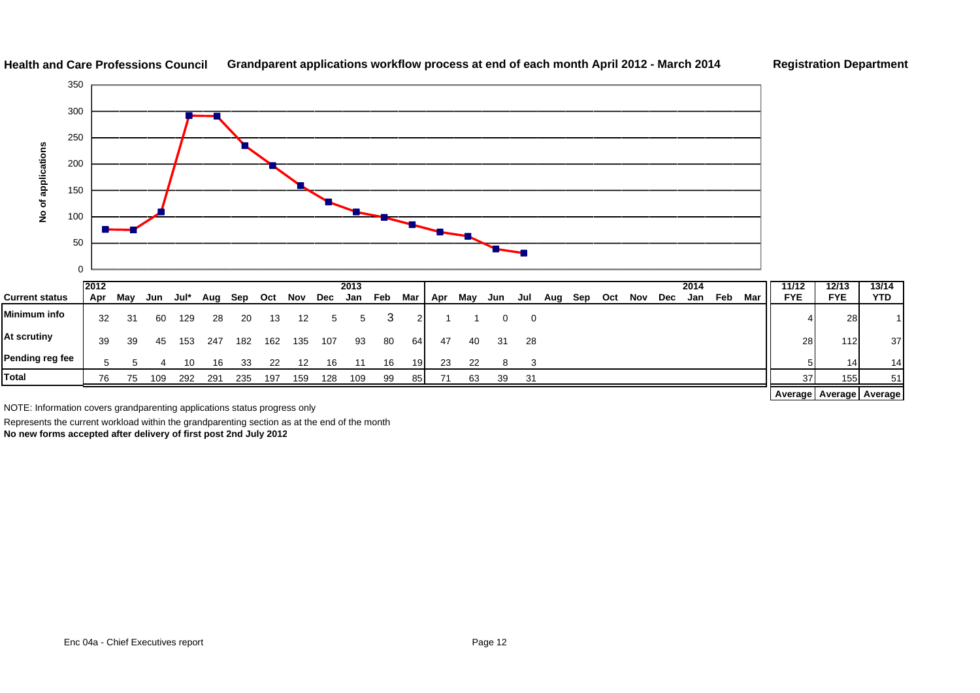

#### **Health and Care Professions CouncilGrandparent applications workflow process at end of each month April 2012 - March 2014 Registration Department**

|                       | 12012 |     |     |      |     |     |     |     |     | 2013 |     |       |     |     |     |     |     |     |     |     |     | 2014 |     |     | 11/12                       | 12/13      | 13/14           |
|-----------------------|-------|-----|-----|------|-----|-----|-----|-----|-----|------|-----|-------|-----|-----|-----|-----|-----|-----|-----|-----|-----|------|-----|-----|-----------------------------|------------|-----------------|
| <b>Current status</b> | Apr   | May | Jun | Jul* | Aug | Sep | Oct | Nov | Dec | Jan  | Feb | Mar I | Apr | May | Jun | Jul | Aug | Sep | Oct | Nov | Dec | Jan  | Feb | Mar | <b>FYE</b>                  | <b>FYE</b> | <b>YTD</b>      |
| Minimum info          | -32   | 31  | 60  | 129  | 28  | 20  | 13  | 12  | 5   | 5    |     | 21    |     |     |     | - 0 |     |     |     |     |     |      |     |     |                             | 28         |                 |
| At scrutiny           | 39    | 39  | 45  | 153  | 247 | 182 | 162 | 135 | 107 | 93   | 80  | 64    | 47  | 40  | 31  | 28  |     |     |     |     |     |      |     |     | 28                          | 112        | 37              |
| Pending reg fee       |       |     |     | 10   | 16  | 33  | 22  | 12  | 16  |      | 16  | 191   | 23  | 22  |     |     |     |     |     |     |     |      |     |     |                             | 14         | 14              |
| <b>Total</b>          | 76    | 75  | 109 | 292  | 291 | 235 | 197 | 159 | 128 | 109  | 99  | 85    | 71  | 63  | 39  | 31  |     |     |     |     |     |      |     |     | 37                          | 155        | 51 <sub>1</sub> |
|                       |       |     |     |      |     |     |     |     |     |      |     |       |     |     |     |     |     |     |     |     |     |      |     |     | Average   Average   Average |            |                 |

NOTE: Information covers grandparenting applications status progress only

Represents the current workload within the grandparenting section as at the end of the month

**No new forms accepted after delivery of first post 2nd July 2012**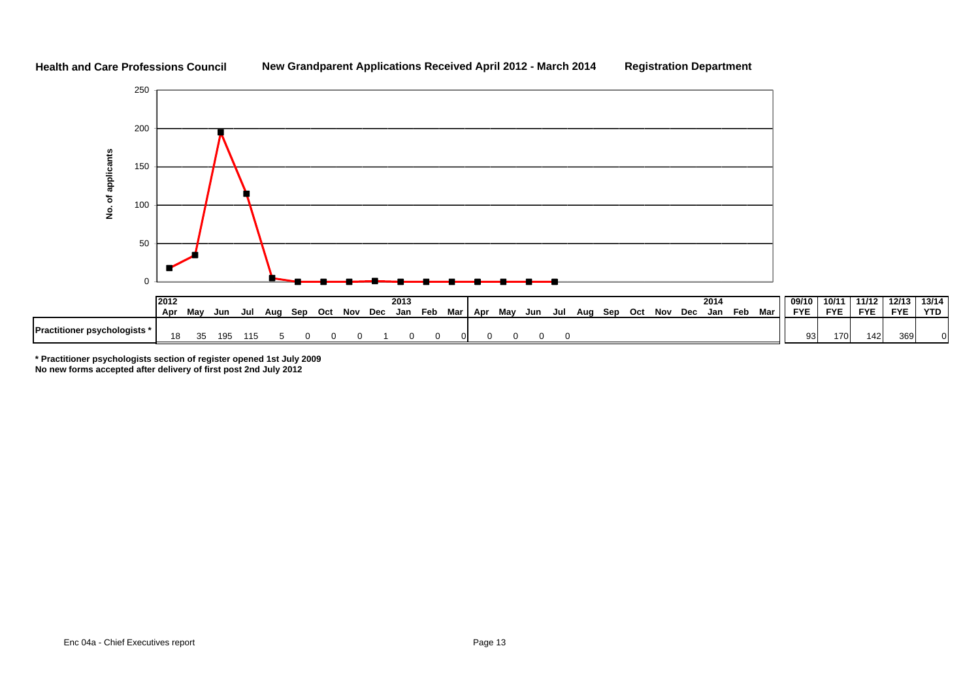#### **Health and Care Professions Council**

#### **New Grandparent Applications Received April 2012 - March 2014 Registration Department**

**YTD** 



**\* Practitioner psychologists section of register opened 1st July 2009**

**No new forms accepted after delivery of first post 2nd July 2012**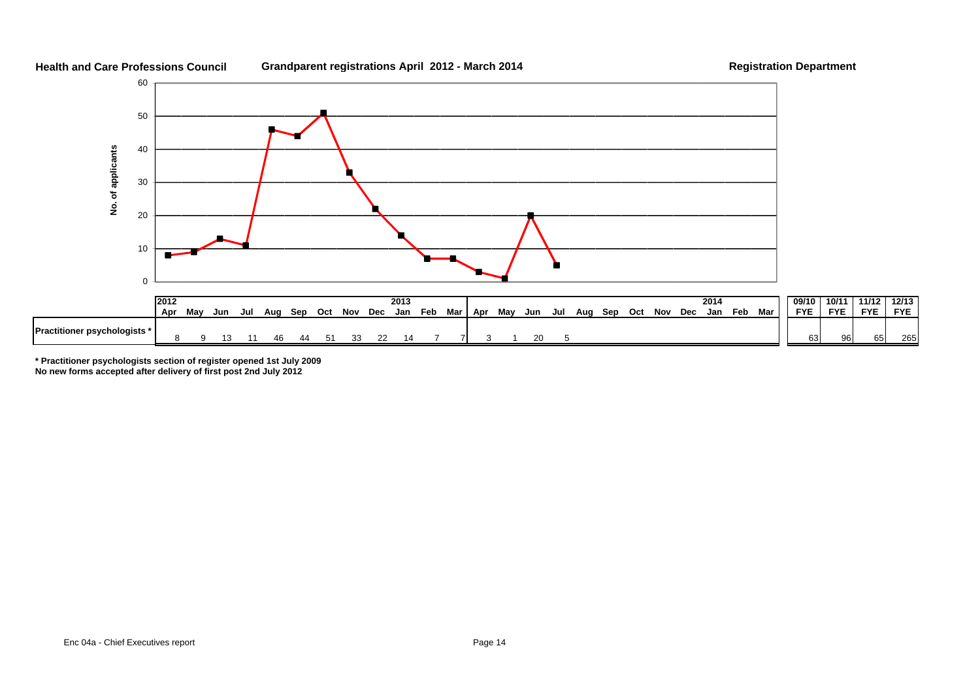

#### **Health and Care Professions Council**Grandparent registrations April 2012 - March 2014 **Registration Department**

**FYE** 

265

**\* Practitioner psychologists section of register opened 1st July 2009**

**No new forms accepted after delivery of first post 2nd July 2012**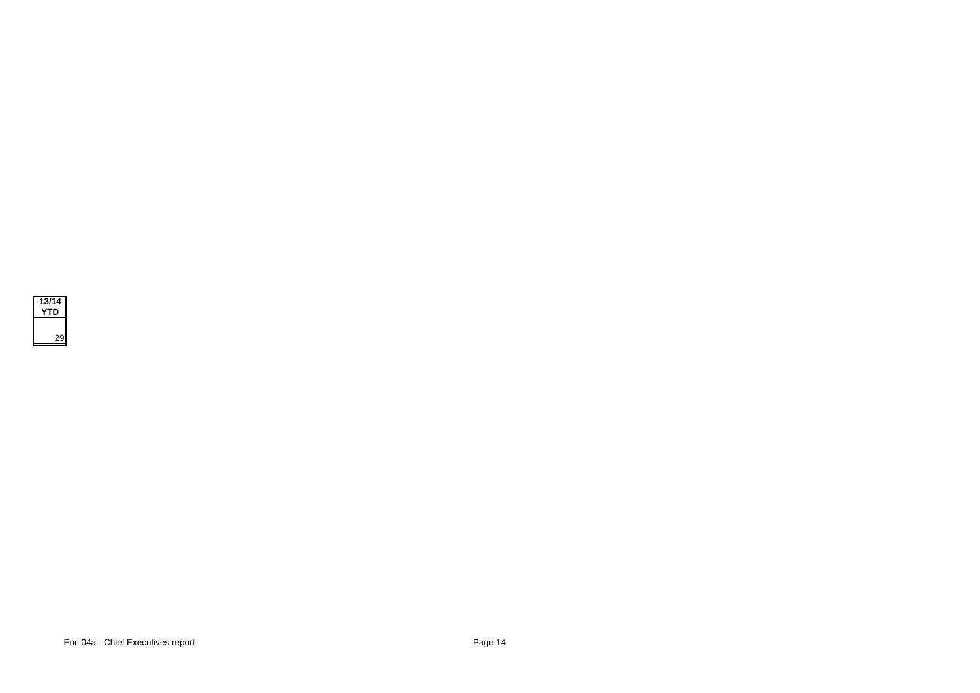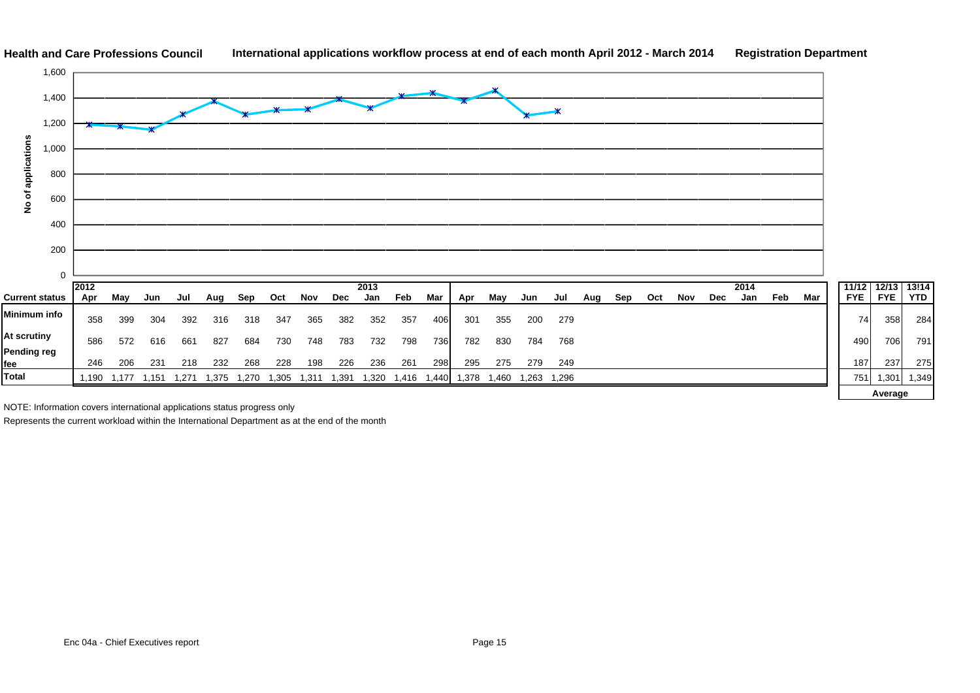

NOTE: Information covers international applications status progress only

Represents the current workload within the International Department as at the end of the month

13!14<br>YTD

284

 $79'$ 

**Average**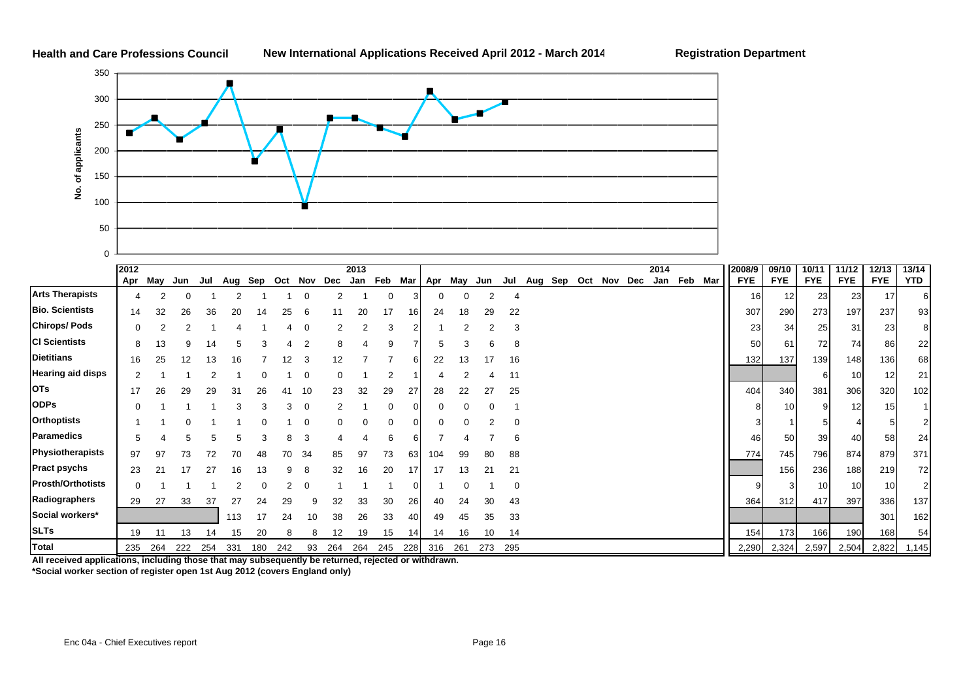

|                          | 2012 |     |     |     |         |     |             |    |     | 2013            |          |     |     |     |     |          |     |     |         |     | 2014 |     |     | 2008/9     | 09/10           | 10/11      | 11/12      | 12/13      | 13/14          |
|--------------------------|------|-----|-----|-----|---------|-----|-------------|----|-----|-----------------|----------|-----|-----|-----|-----|----------|-----|-----|---------|-----|------|-----|-----|------------|-----------------|------------|------------|------------|----------------|
|                          | Apr  | May | Jun | Jul | Aug Sep |     | Oct Nov Dec |    |     | Jan Feb Mar Apr |          |     |     | May | Jun | Jul      | Aug | Sep | Oct Nov | Dec | Jan  | Feb | Mar | <b>FYE</b> | <b>FYE</b>      | <b>FYE</b> | <b>FYE</b> | <b>FYE</b> | <b>YTD</b>     |
| <b>Arts Therapists</b>   |      |     |     |     |         |     |             |    |     |                 | $\Omega$ |     | 0   |     |     |          |     |     |         |     |      |     |     | 16 I       | 12              | 23         | 23         | 17         | 61             |
| <b>Bio. Scientists</b>   | 14   | 32  | 26  | 36  | 20      | 14  | 25          | 6  | 11  | 20              | 17       | 161 | 24  | 18  | 29  | 22       |     |     |         |     |      |     |     | 307        | 290             | 273        | 197        | 237        | 93             |
| <b>Chirops/Pods</b>      |      |     |     |     |         |     |             |    |     |                 | 3        |     |     |     |     | 3        |     |     |         |     |      |     |     | 23         | 34              | 25         | 31         | 23         | 81             |
| <b>CI Scientists</b>     | 8    | 13  | 9   |     |         |     |             | 2  |     |                 | 9        |     |     |     |     | 8        |     |     |         |     |      |     |     | 50         | 61              | 72         | 74         | 86         | 22             |
| <b>Dietitians</b>        | 16   | 25  | 12  |     | 16      |     | 12.         | 3  | 12  |                 |          |     | 22  | 13  |     | 16       |     |     |         |     |      |     |     | 132        | 137             | 139        | 148        | 136        | 68             |
| <b>Hearing aid disps</b> |      |     |     |     |         |     |             | C  |     |                 |          |     |     |     |     | 11       |     |     |         |     |      |     |     |            |                 |            | 10         | 12         | 21             |
| <b>OTs</b>               |      | 26  | 29  | 29  | 31      | 26  | 41          | 10 | 23  | 32              | 29       |     | 28  | 22  |     | 25       |     |     |         |     |      |     |     | 404        | 340             | 381        | 306        | 320        | 102            |
| <b>ODPs</b>              |      |     |     |     |         |     | 3           | 0  |     |                 |          |     |     |     |     |          |     |     |         |     |      |     |     |            | 10 <sup>1</sup> |            | 12         | 15         |                |
| <b>Orthoptists</b>       |      |     |     |     |         |     |             |    |     |                 |          |     |     |     |     |          |     |     |         |     |      |     |     |            |                 |            |            |            |                |
| Paramedics               |      |     |     |     |         |     |             | 3  |     |                 |          |     |     |     |     | 6        |     |     |         |     |      |     |     | 46         | 50              | 39         | 40         | 58         | 24             |
| Physiotherapists         | 97   |     |     |     | 70      |     | 70          | 34 | 85  | 97              | 73       | 63  | 104 | 99  |     | 88       |     |     |         |     |      |     |     | 774        | 745             | 796        | 874        | 879        | 371            |
| <b>Pract psychs</b>      | 23   |     |     |     |         |     |             |    | 32  | 16              | 20       |     |     | 13  |     | 21       |     |     |         |     |      |     |     |            | 156             | 236        | 188        | 219        | 72             |
| <b>Prosth/Orthotists</b> |      |     |     |     |         |     |             |    |     |                 |          |     |     |     |     | $\Omega$ |     |     |         |     |      |     |     |            | 3               | 10         | 10         | 10         | 2 <sup>1</sup> |
| Radiographers            | 29   | 27  | 33  | 37  | 27      | 24  | 29          |    | 32  | 33              | 30       | 26  | 40  | 24  |     | 43       |     |     |         |     |      |     |     | 364        | 312             | 417        | 397        | 336        | 137            |
| Social workers*          |      |     |     |     | 113     | 17  |             |    |     | 26              | 33       |     | 49  | 45  | 35  | 33       |     |     |         |     |      |     |     |            |                 |            |            | 301        | 162            |
| <b>SLTs</b>              | 19   |     | 13  |     | 15      | 20  |             |    | 12  | 19              | 15       | 14  | 14  | 16  |     | 14       |     |     |         |     |      |     |     | 154        | 173             | 166        | 190        | 168        | 54             |
| Total                    | 235  | 264 | 222 | 254 | 331     | 180 | 242         | 93 | 264 | 264             | 245      | 228 | 316 | 261 | 273 | 295      |     |     |         |     |      |     |     | 2,290      | 2,324           | 2,597      | 2,504      | 2,822      | 1,145          |

**All received applications, including those that may subsequently be returned, rejected or withdrawn. \*Social worker section of register open 1st Aug 2012 (covers England only)**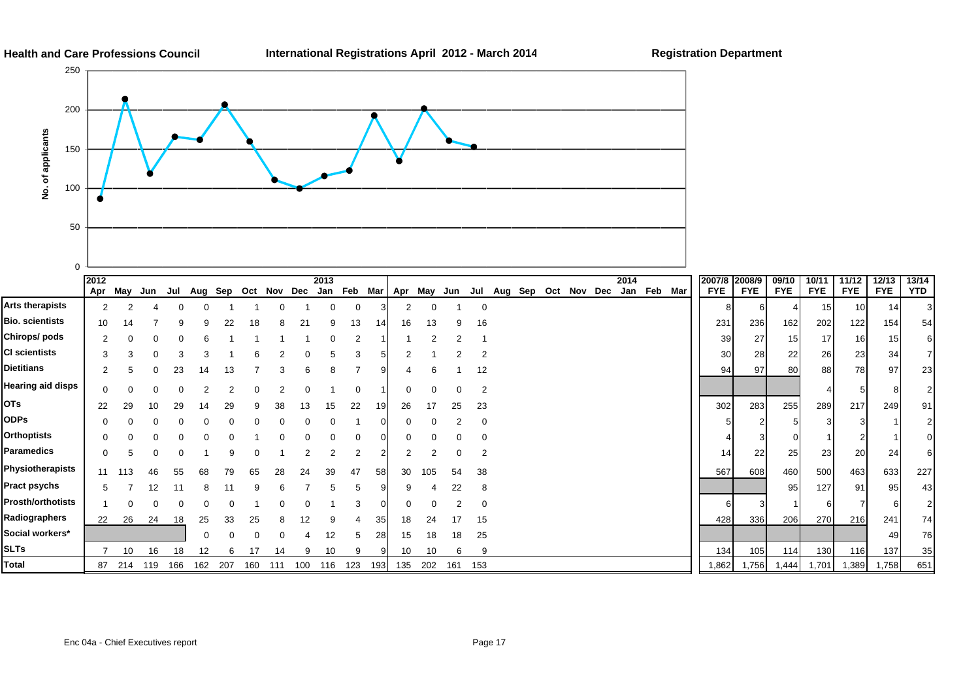$13/14$ 

 $54$ 

23

91

 $227$ 

74

35

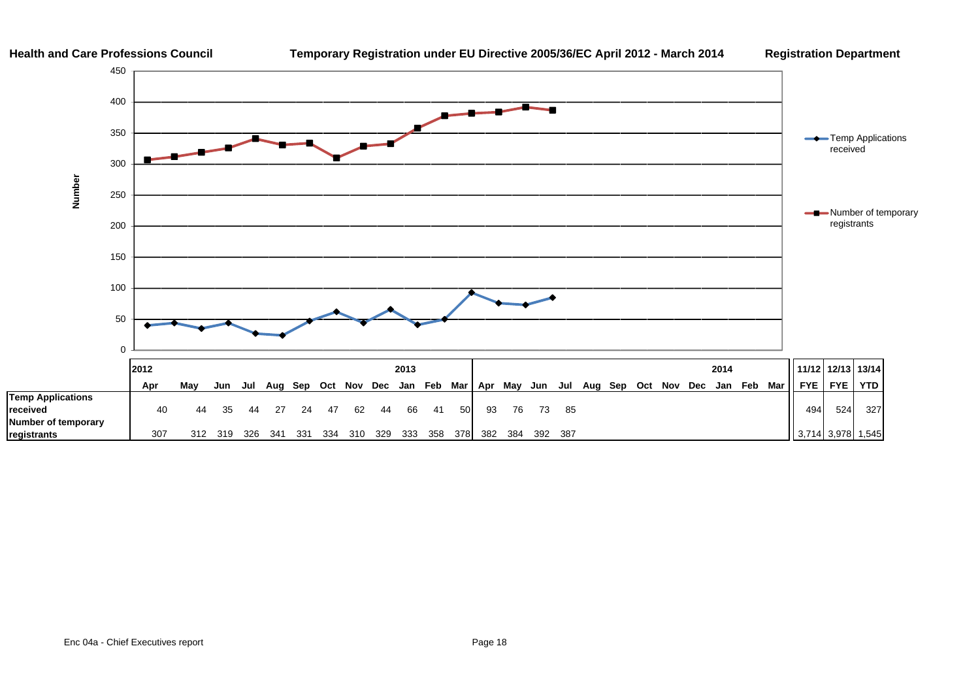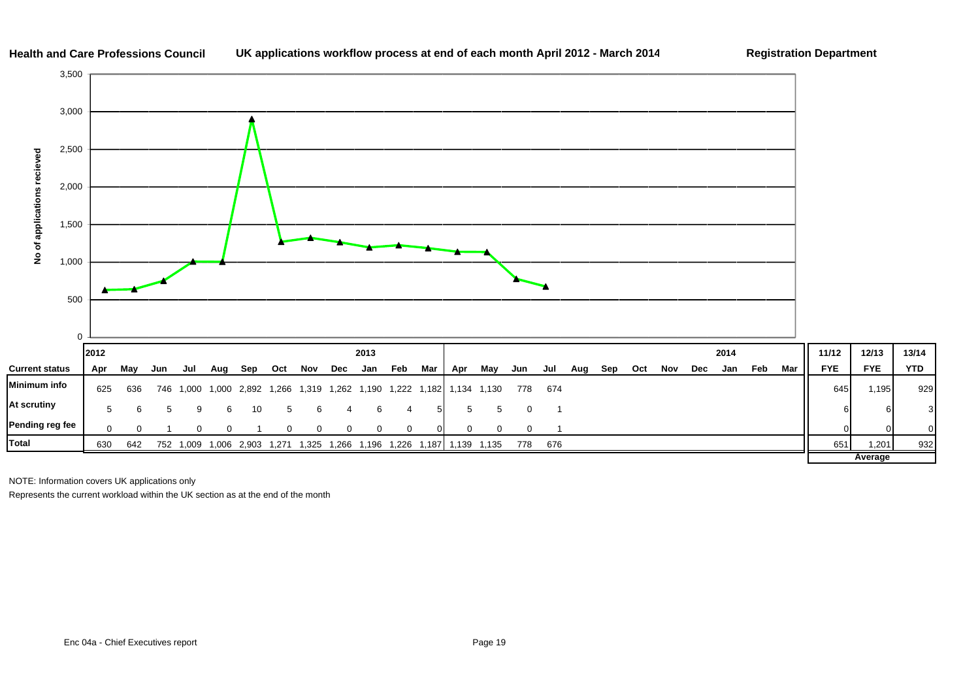

#### **Health and Care Professions Council**UK applications workflow process at end of each month April 2012 - March 2014 **Registration Department**

13/14

**Average**

3

NOTE: Information covers UK applications only

Represents the current workload within the UK section as at the end of the month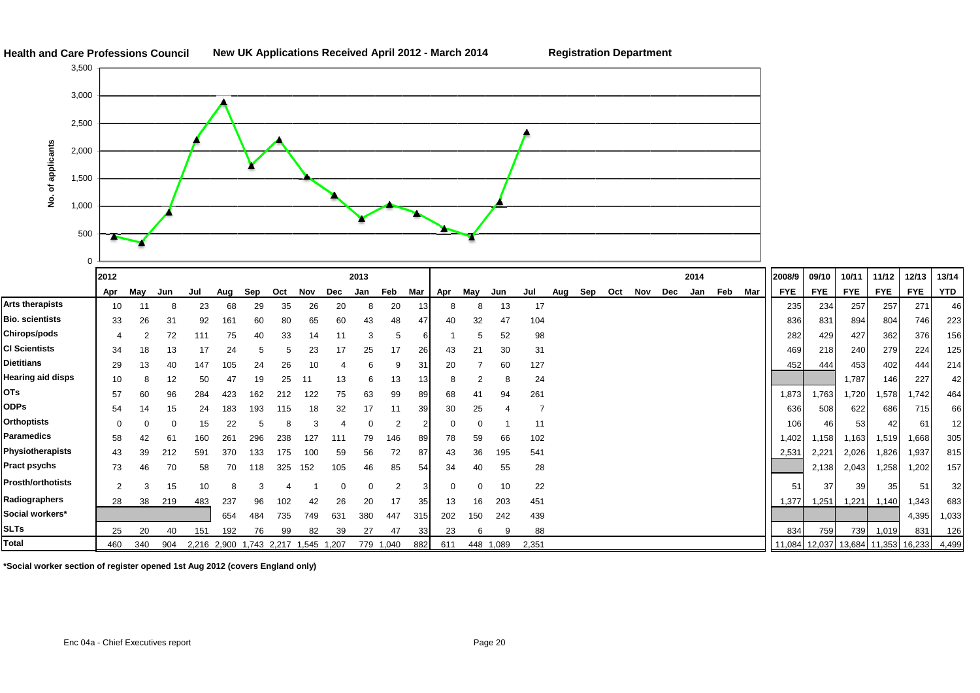

**\*Social worker section of register opened 1st Aug 2012 (covers England only)**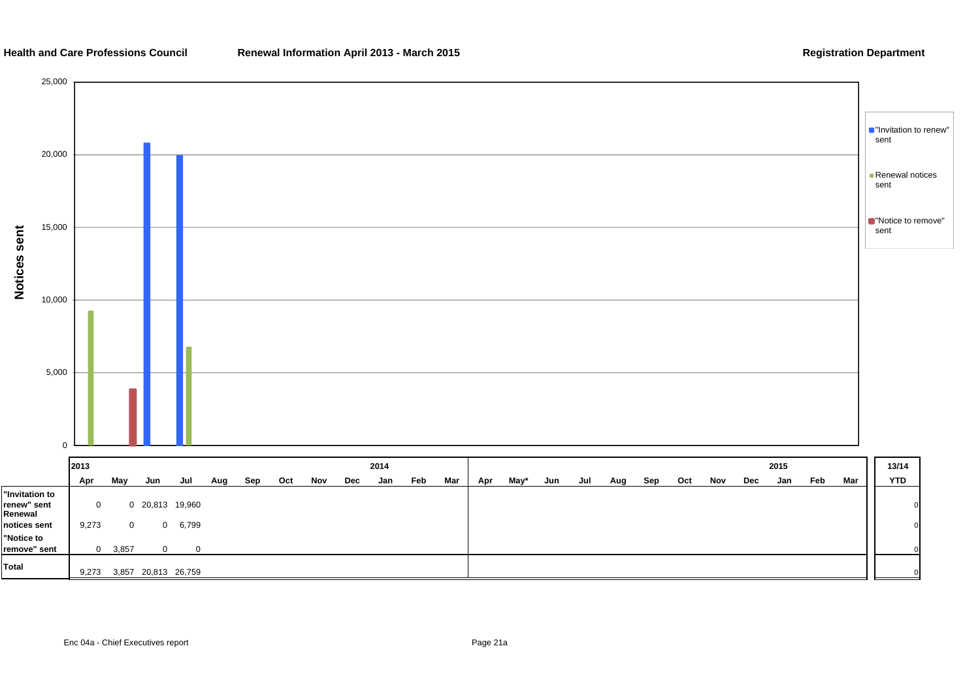#### **Health and Care Professions Council**

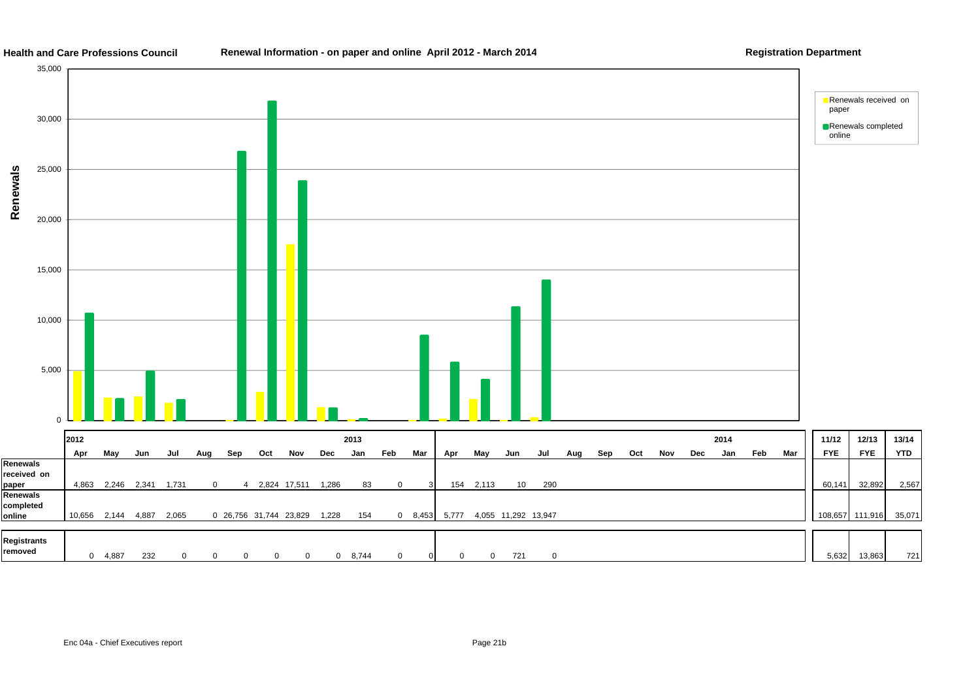

#### **Health and Care Professions CouncilRenewal Information - on paper and online April 2012 - March 2014 Registration Department**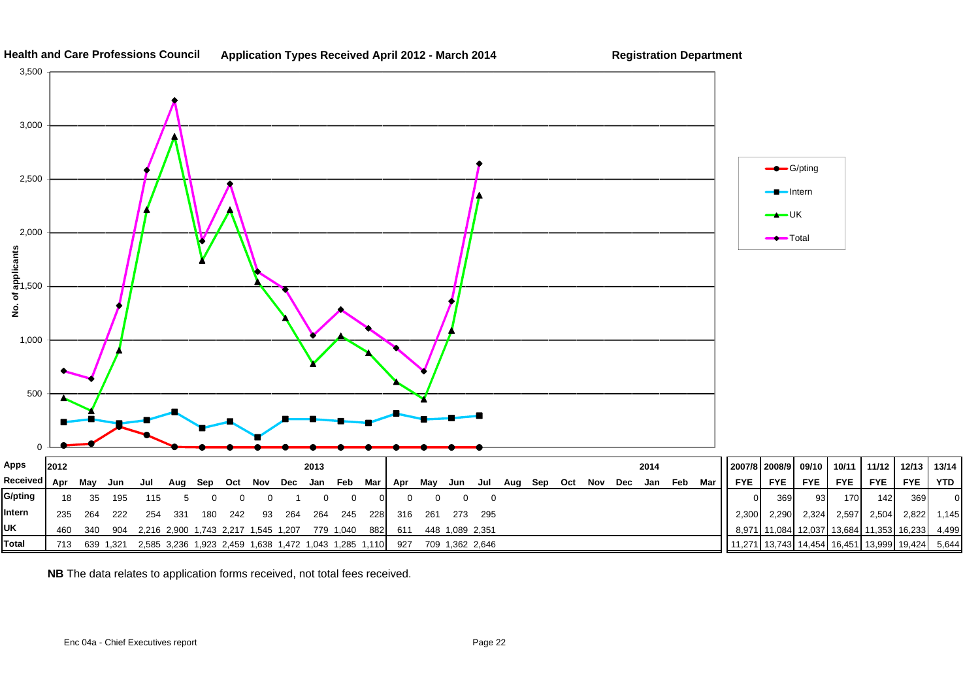

**Health and Care Professions CouncilApplication Types Received April 2012 - March 2014 Registration Department**

**NB** The data relates to application forms received, not total fees received.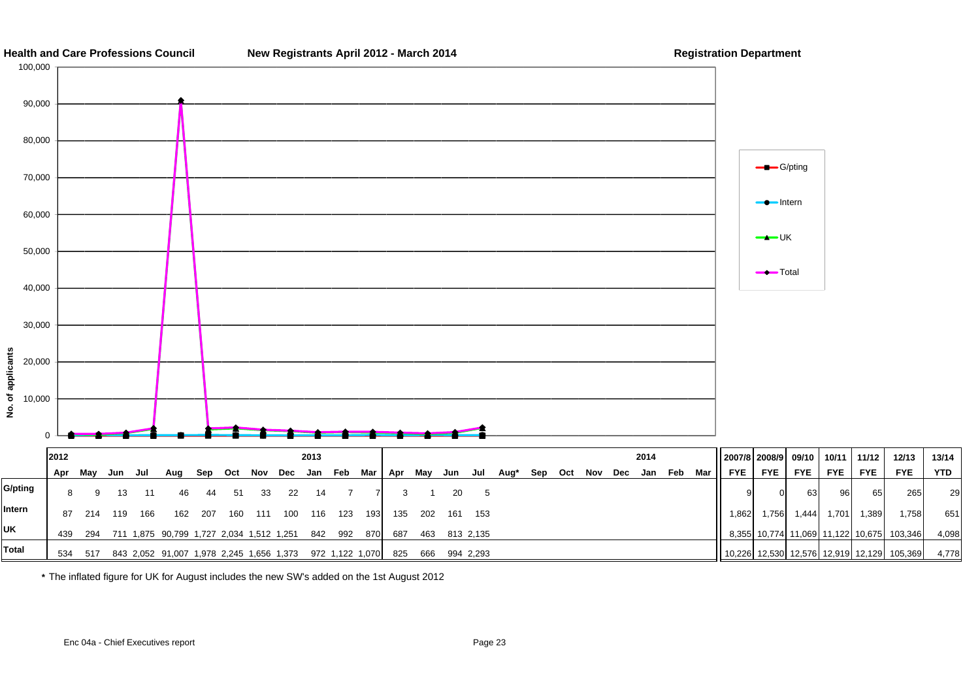

**\*** The inflated figure for UK for August includes the new SW's added on the 1st August 2012

29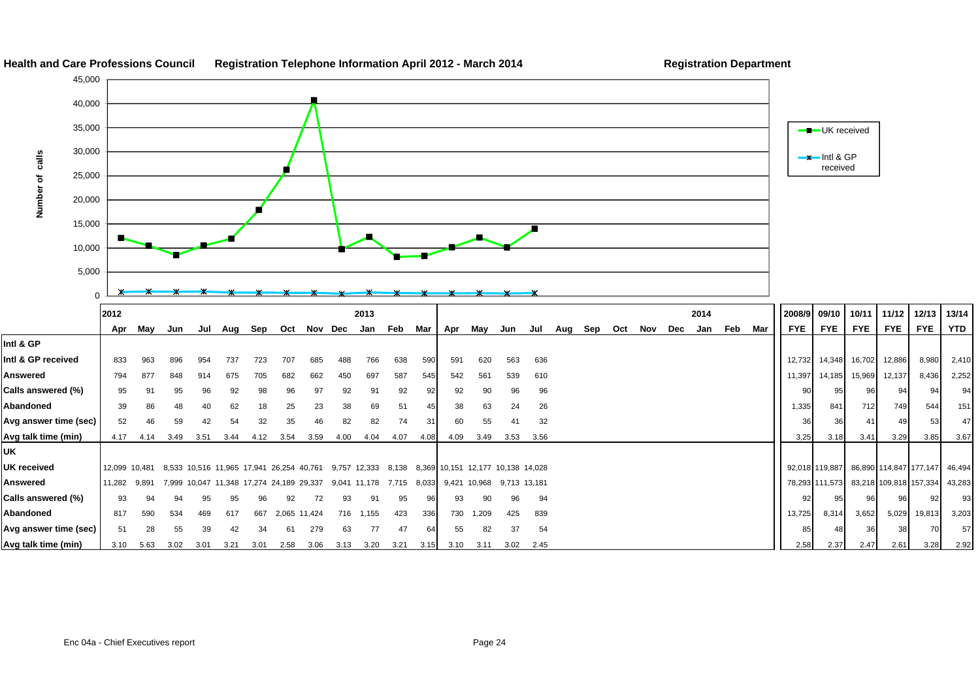

#### **Health and Care Professions Council Registration Telephone Information April 2012 - March 201 4**

**Registration Department**

**Avg answer time (sec)** 51 28 55 39 42 34 61 279 63 77 47 64 55 82 37 54 85 82 85 85 86 85 48 36 38 70 57 **Avg talk time (min)** 3.10 5.63 3.02 3.01 3.21 3.01 2.58 3.06 3.13 3.20 3.21 3.15 3.10 3.11 3.02 2.45 2,58 2.37 2.47 2.61 3.28 2.92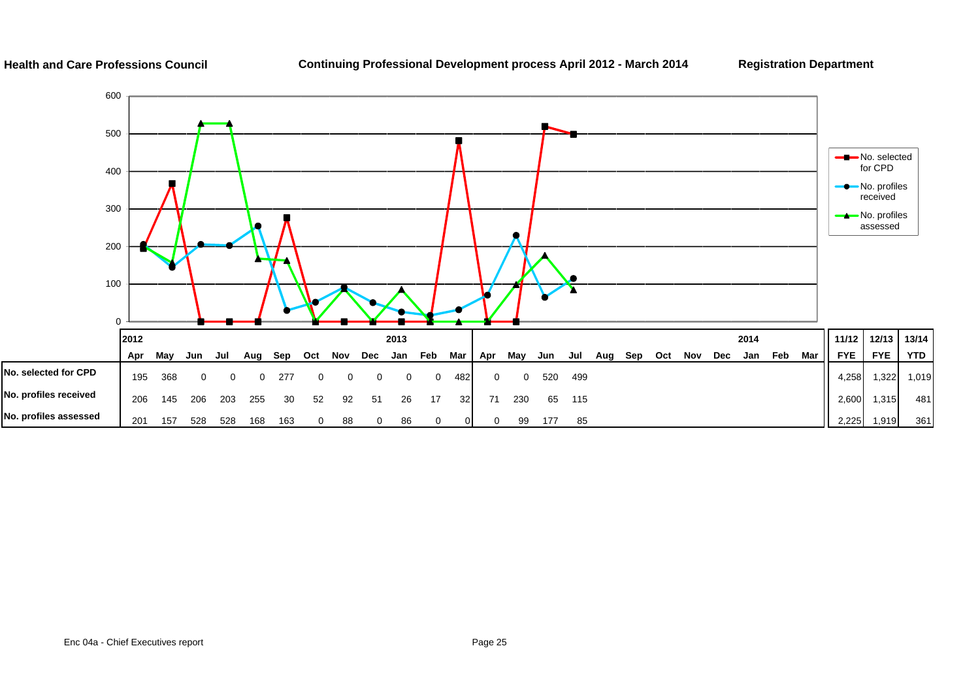#### **Health and Care Professions Council**